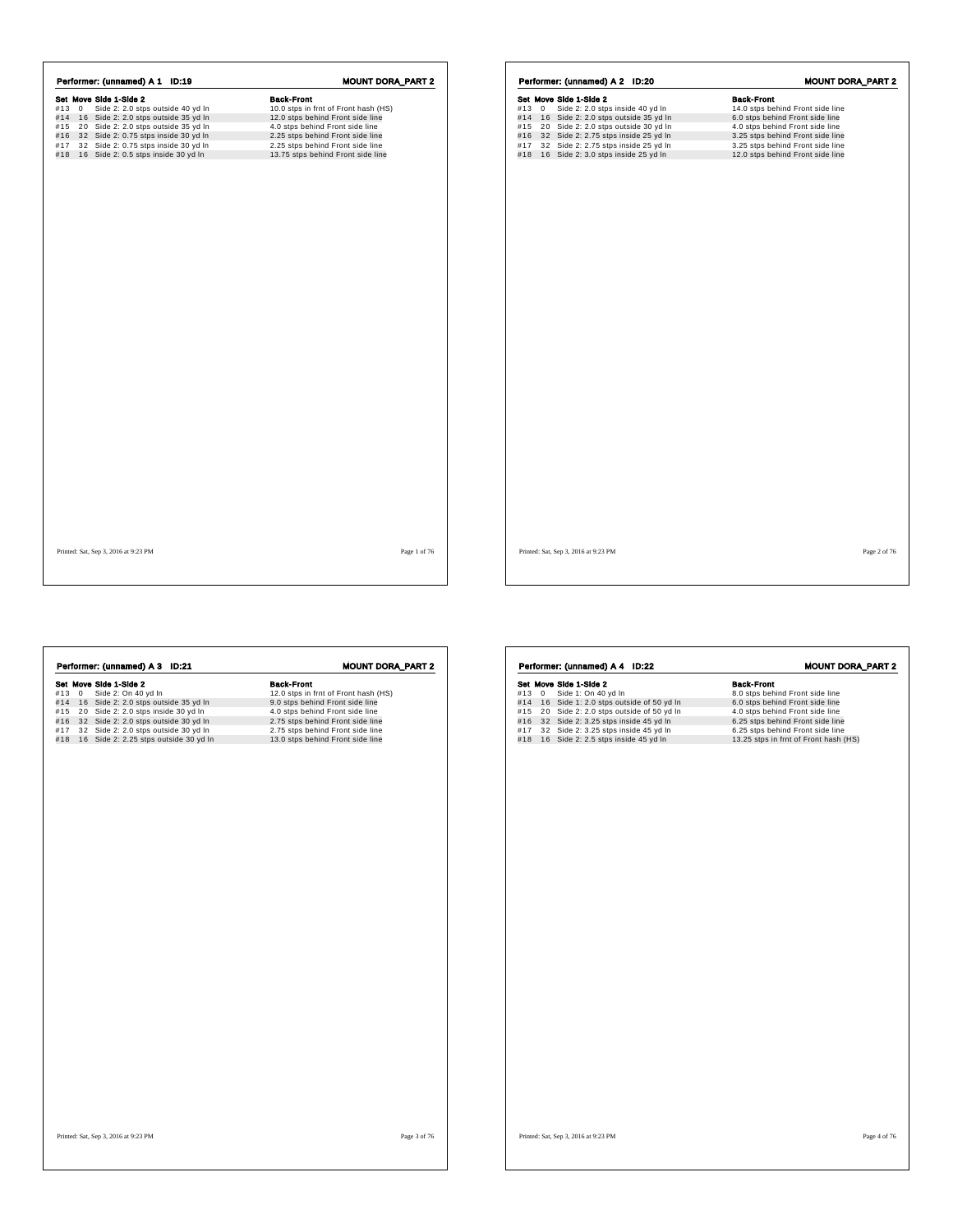|           |    | Performer: (unnamed) A 1 ID:19       | <b>MOUNT DORA_PART 2</b>             |
|-----------|----|--------------------------------------|--------------------------------------|
|           |    | Set Move Side 1-Side 2               | <b>Back-Front</b>                    |
| $#13 \ 0$ |    | Side 2: 2.0 stps outside 40 yd In    | 10.0 stps in frnt of Front hash (HS) |
| #14       |    | 16 Side 2: 2.0 stps outside 35 yd In | 12.0 stps behind Front side line     |
| #15       | 20 | Side 2: 2.0 stps outside 35 yd In    | 4.0 stps behind Front side line      |
| #16       |    | 32 Side 2: 0.75 stps inside 30 yd In | 2.25 stps behind Front side line     |
| #17       |    | 32 Side 2: 0.75 stps inside 30 yd In | 2.25 stps behind Front side line     |
| #18       |    | 16 Side 2: 0.5 stps inside 30 yd In  | 13.75 stps behind Front side line    |
|           |    |                                      |                                      |
|           |    |                                      |                                      |
|           |    |                                      |                                      |
|           |    |                                      |                                      |
|           |    |                                      |                                      |

|     | Performer: (unnamed) A 2 ID:20 |                                          | <b>MOUNT DORA_PART 2</b>         |  |
|-----|--------------------------------|------------------------------------------|----------------------------------|--|
|     |                                | Set Move Side 1-Side 2                   | <b>Back-Front</b>                |  |
| #13 | $\mathbf 0$                    | Side 2: 2.0 stps inside 40 yd In         | 14.0 stps behind Front side line |  |
|     |                                | #14 16 Side 2: 2.0 stps outside 35 yd In | 6.0 stps behind Front side line  |  |
| #15 |                                | 20 Side 2: 2.0 stps outside 30 yd In     | 4.0 stps behind Front side line  |  |
| #16 |                                | 32 Side 2: 2.75 stps inside 25 yd In     | 3.25 stps behind Front side line |  |
| #17 |                                | 32 Side 2: 2.75 stps inside 25 yd In     | 3.25 stps behind Front side line |  |
| #18 |                                | 16 Side 2: 3.0 stps inside 25 yd In      | 12.0 stps behind Front side line |  |
|     |                                |                                          |                                  |  |
|     |                                |                                          |                                  |  |
|     |                                |                                          |                                  |  |
|     |                                |                                          |                                  |  |
|     |                                |                                          |                                  |  |
|     |                                |                                          |                                  |  |
|     |                                |                                          |                                  |  |
|     |                                |                                          |                                  |  |
|     |                                |                                          |                                  |  |
|     |                                |                                          |                                  |  |

Printed: Sat, Sep 3, 2016 at 9:23 PM Page 1 of 76

**r** 

Printed: Sat, Sep 3, 2016 at 9:23 PM Page 2 of 76

MOUNT DORA\_PART 2

| Performer: (unnamed) A 3 ID:21            | <b>MOUNT DORA_PART 2</b>             | Performer: (unnamed) A 4 ID:22              | <b>MOUNT DORA</b>                     |
|-------------------------------------------|--------------------------------------|---------------------------------------------|---------------------------------------|
| Set Move Side 1-Side 2                    | <b>Back-Front</b>                    | Set Move Side 1-Side 2                      | <b>Back-Front</b>                     |
| Side 2: On 40 yd In<br>#13 0              | 12.0 stps in frnt of Front hash (HS) | #13 0 Side 1: On 40 yd In                   | 8.0 stps behind Front side line       |
| #14 16 Side 2: 2.0 stps outside 35 yd In  | 9.0 stps behind Front side line      | #14 16 Side 1: 2.0 stps outside of 50 yd In | 6.0 stps behind Front side line       |
| #15 20 Side 2: 2.0 stps inside 30 yd In   | 4.0 stps behind Front side line      | #15 20 Side 2: 2.0 stps outside of 50 yd In | 4.0 stps behind Front side line       |
| #16 32 Side 2: 2.0 stps outside 30 yd In  | 2.75 stps behind Front side line     | 32 Side 2: 3.25 stps inside 45 yd In<br>#16 | 6.25 stps behind Front side line      |
| #17 32 Side 2: 2.0 stps outside 30 yd In  | 2.75 stps behind Front side line     | 32 Side 2: 3.25 stps inside 45 yd In<br>#17 | 6.25 stps behind Front side line      |
| #18 16 Side 2: 2.25 stps outside 30 yd In | 13.0 stps behind Front side line     | #18 16 Side 2: 2.5 stps inside 45 yd In     | 13.25 stps in frnt of Front hash (HS) |
|                                           |                                      |                                             |                                       |
|                                           |                                      |                                             |                                       |
|                                           |                                      |                                             |                                       |
|                                           |                                      |                                             |                                       |
|                                           |                                      |                                             |                                       |
|                                           |                                      |                                             |                                       |
|                                           |                                      |                                             |                                       |
|                                           |                                      |                                             |                                       |

Page 4 of 76  $\,$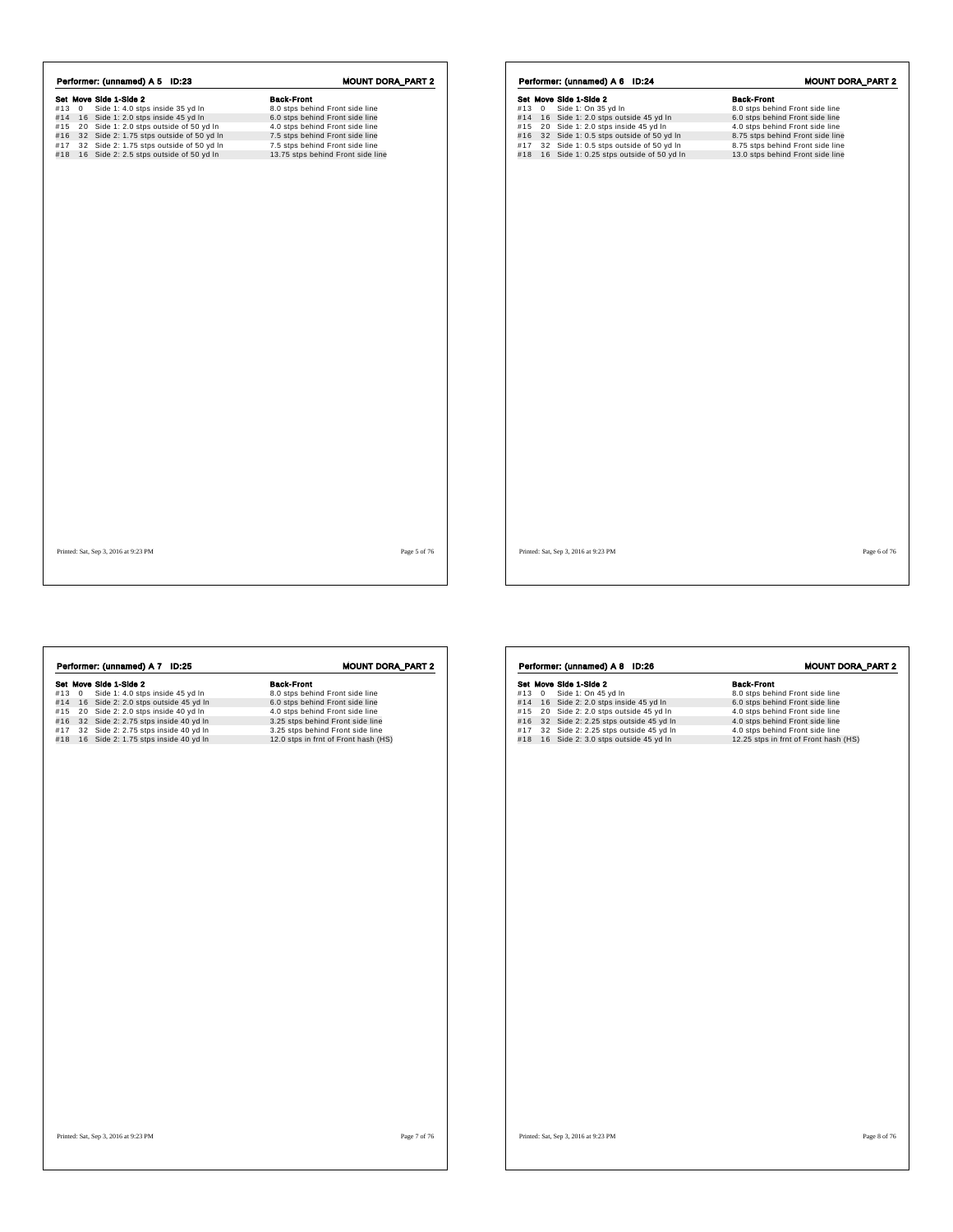| Side 1: 4.0 stps inside 35 yd In<br>8.0 stps behind Front side line<br>$#13 \ 0$<br>16 Side 1: 2.0 stps inside 45 yd In<br>6.0 stps behind Front side line<br>#14<br>20 Side 1: 2.0 stps outside of 50 yd In<br>4.0 stps behind Front side line<br>#15<br>32 Side 2: 1.75 stps outside of 50 yd In<br>7.5 stps behind Front side line<br>#16 |  |
|----------------------------------------------------------------------------------------------------------------------------------------------------------------------------------------------------------------------------------------------------------------------------------------------------------------------------------------------|--|
|                                                                                                                                                                                                                                                                                                                                              |  |
|                                                                                                                                                                                                                                                                                                                                              |  |
|                                                                                                                                                                                                                                                                                                                                              |  |
|                                                                                                                                                                                                                                                                                                                                              |  |
| 32 Side 2: 1.75 stps outside of 50 yd In<br>7.5 stps behind Front side line<br>#17                                                                                                                                                                                                                                                           |  |
| 13.75 stps behind Front side line<br>16 Side 2: 2.5 stps outside of 50 yd In<br>#18                                                                                                                                                                                                                                                          |  |

|       | Performer: (unnamed) A 6 ID:24           |                                              | <b>MOUNT DORA_PART 2</b>         |  |
|-------|------------------------------------------|----------------------------------------------|----------------------------------|--|
|       | Set Move Side 1-Side 2                   |                                              | <b>Back-Front</b>                |  |
| #13 0 | Side 1: On 35 yd In                      |                                              | 8.0 stps behind Front side line  |  |
|       | #14 16 Side 1: 2.0 stps outside 45 yd In |                                              | 6.0 stps behind Front side line  |  |
| #15   | 20 Side 1: 2.0 stps inside 45 yd In      |                                              | 4.0 stps behind Front side line  |  |
| #16   |                                          | 32 Side 1: 0.5 stps outside of 50 yd In      | 8.75 stps behind Front side line |  |
| #17   |                                          | 32 Side 1: 0.5 stps outside of 50 yd In      | 8.75 stps behind Front side line |  |
|       |                                          | #18 16 Side 1: 0.25 stps outside of 50 yd In | 13.0 stps behind Front side line |  |
|       |                                          |                                              |                                  |  |
|       |                                          |                                              |                                  |  |
|       |                                          |                                              |                                  |  |
|       |                                          |                                              |                                  |  |
|       |                                          |                                              |                                  |  |

**Set Move Side 1-Side 2**<br> **Side 1:** 4.0 stps inside 45 yd In 8.0 stps behind Front side line<br>
#14 16 Side 2: 2.0 stps unside 45 yd In 6.0 stps behind Front side line<br>
#15 20 Side 2: 2.0 stps inside 40 yd In 4.0 stps behin **Performer: (unnamed) A 7 ID:25 MOUNT DORA\_PART 2**<br> **Set Move Side 1:** 4.0 stps inside 45 yd ln 8.0 stps behind Front side line<br>
#14 16 Side 2: 2.0 stps sustide 45 yd ln 6.0 stps behind Front side line<br>
#15 20 Side 2: 2.0 Printed: Sat, Sep 3, 2016 at 9:23 PM Page 7 of 76 Set Move Side 1-Sole 2<br>
Side 1-Sole 1-Sole and Sole 1-Sole 2 and Sole 1-Sole 2 and Side 2: 2.0 stps behind Front side line<br>
#14 16 Side 2: 2.0 stps inside 45 yd In 4.0 stps behind Front side line<br>
#16 20 Side 2: 2.25 stps **Performer: (unnamed) A 8 ID:26 MOUNT DORA\_PART 2**<br> **Set Move Side 1-Side 2**<br>
#13 0 Side 1: On 45 yd In 8.0 stps behind Front side line<br>
#14 16 Side 2: 2.0 stps outside 45 yd In 4.0 stps behind Front side line<br>
#15 20 Side Printed: Sat, Sep 3, 2016 at 9:23 PM Page 8 of 76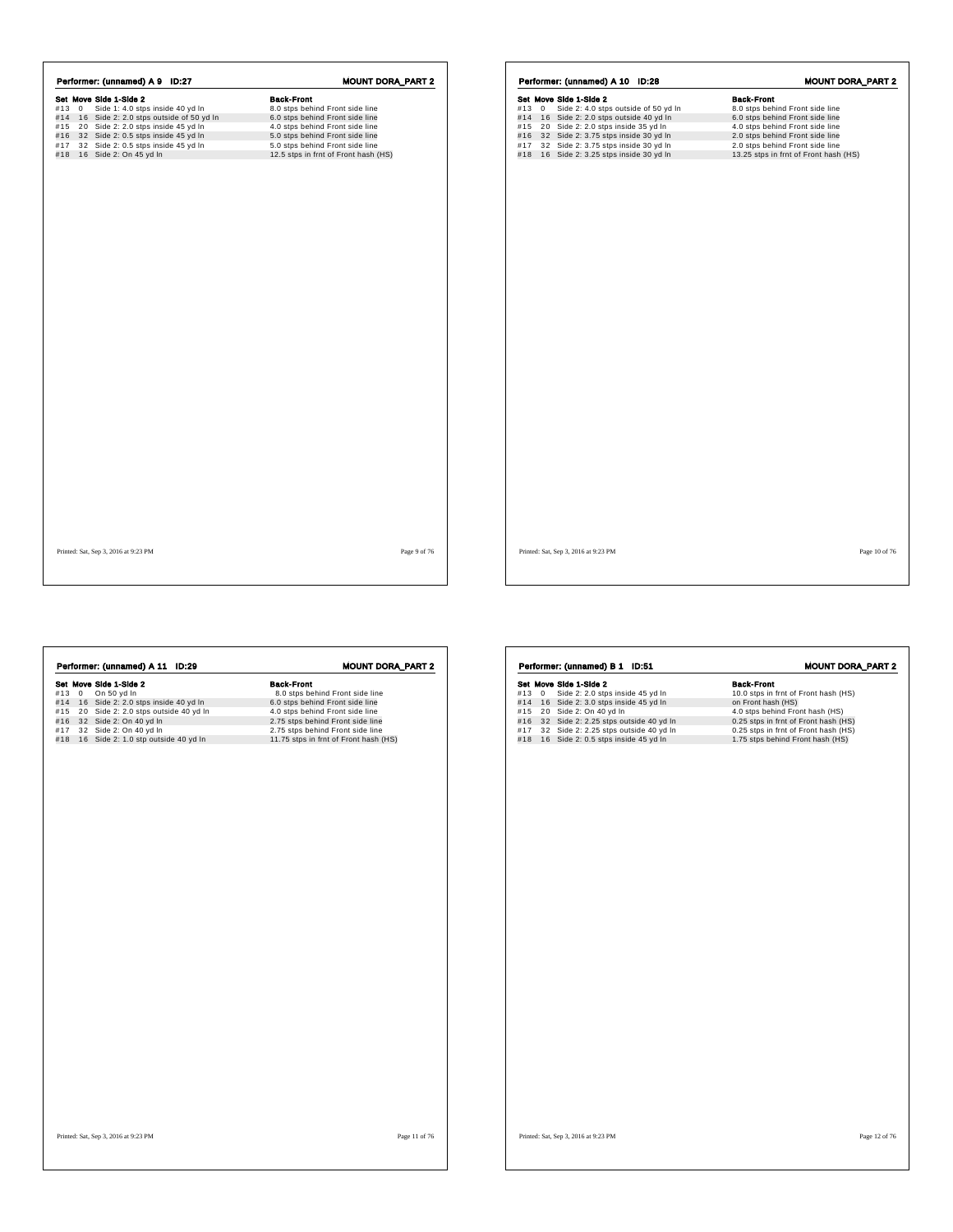|     |           | Performer: (unnamed) A 9 ID:27          | <b>MOUNT DORA_PART 2</b>             |
|-----|-----------|-----------------------------------------|--------------------------------------|
|     |           | Set Move Side 1-Side 2                  | <b>Back-Front</b>                    |
|     | $#13 \ 0$ | Side 1: 4.0 stps inside 40 yd In        | 8.0 stps behind Front side line      |
| #14 |           | 16 Side 2: 2.0 stps outside of 50 yd In | 6.0 stps behind Front side line      |
| #15 |           | 20 Side 2: 2.0 stps inside 45 yd In     | 4.0 stps behind Front side line      |
| #16 |           | 32 Side 2: 0.5 stps inside 45 yd In     | 5.0 stps behind Front side line      |
| #17 |           | 32 Side 2: 0.5 stps inside 45 yd In     | 5.0 stps behind Front side line      |
| #18 |           | 16 Side 2: On 45 yd In                  | 12.5 stps in frnt of Front hash (HS) |

| #13 | $\mathbf{0}$ | Set Move Side 1-Side 2<br>Side 2: 4.0 stps outside of 50 yd In | <b>Back-Front</b><br>8.0 stps behind Front side line |
|-----|--------------|----------------------------------------------------------------|------------------------------------------------------|
| #14 |              | 16 Side 2: 2.0 stps outside 40 yd In                           | 6.0 stps behind Front side line                      |
| #15 |              | 20 Side 2: 2.0 stps inside 35 yd In                            | 4.0 stps behind Front side line                      |
| #16 |              | 32 Side 2: 3.75 stps inside 30 yd In                           | 2.0 stps behind Front side line                      |
| #17 |              | 32 Side 2: 3.75 stps inside 30 yd In                           | 2.0 stps behind Front side line                      |
| #18 |              | 16 Side 2: 3.25 stps inside 30 yd In                           | 13.25 stps in frnt of Front hash (HS)                |
|     |              |                                                                |                                                      |
|     |              |                                                                |                                                      |
|     |              |                                                                |                                                      |

Printed: Sat, Sep 3, 2016 at 9:23 PM Page 9 of 76

| Performer: (unnamed) A 11 ID:29<br>Set Move Side 1-Side 2<br>#13 0 On 50 yd In<br>#14 16 Side 2: 2.0 stps inside 40 yd In<br>#15 20 Side 2: 2.0 stps outside 40 yd In<br>#16 32 Side 2: On 40 yd In<br>#17 32 Side 2: On 40 yd In<br>#18 16 Side 2: 1.0 stp outside 40 yd In | <b>MOUNT DORA_PART 2</b><br><b>Back-Front</b><br>8.0 stps behind Front side line<br>6.0 stps behind Front side line<br>4.0 stps behind Front side line<br>2.75 stps behind Front side line<br>2.75 stps behind Front side line<br>11.75 stps in frnt of Front hash (HS) | Performer: (unnamed) B 1 ID:51<br>Set Move Side 1-Side 2<br>#13 0 Side 2: 2.0 stps inside 45 yd In<br>#14 16 Side 2: 3.0 stps inside 45 yd In<br>#15 20 Side 2: On 40 yd In<br>#16 32 Side 2: 2.25 stps outside 40 yd In<br>#17 32 Side 2: 2.25 stps outside 40 yd In<br>#18 16 Side 2: 0.5 stps inside 45 yd In | <b>MOUNT DORA_PART 2</b><br><b>Back-Front</b><br>10.0 stps in frnt of Front hash (HS)<br>on Front hash (HS)<br>4.0 stps behind Front hash (HS)<br>0.25 stps in frnt of Front hash (HS)<br>0.25 stps in frnt of Front hash (HS)<br>1.75 stps behind Front hash (HS) |
|------------------------------------------------------------------------------------------------------------------------------------------------------------------------------------------------------------------------------------------------------------------------------|-------------------------------------------------------------------------------------------------------------------------------------------------------------------------------------------------------------------------------------------------------------------------|------------------------------------------------------------------------------------------------------------------------------------------------------------------------------------------------------------------------------------------------------------------------------------------------------------------|--------------------------------------------------------------------------------------------------------------------------------------------------------------------------------------------------------------------------------------------------------------------|
| Printed: Sat, Sep 3, 2016 at 9:23 PM                                                                                                                                                                                                                                         | Page 11 of 76                                                                                                                                                                                                                                                           | Printed: Sat, Sep 3, 2016 at 9:23 PM                                                                                                                                                                                                                                                                             | Page 12 of 76                                                                                                                                                                                                                                                      |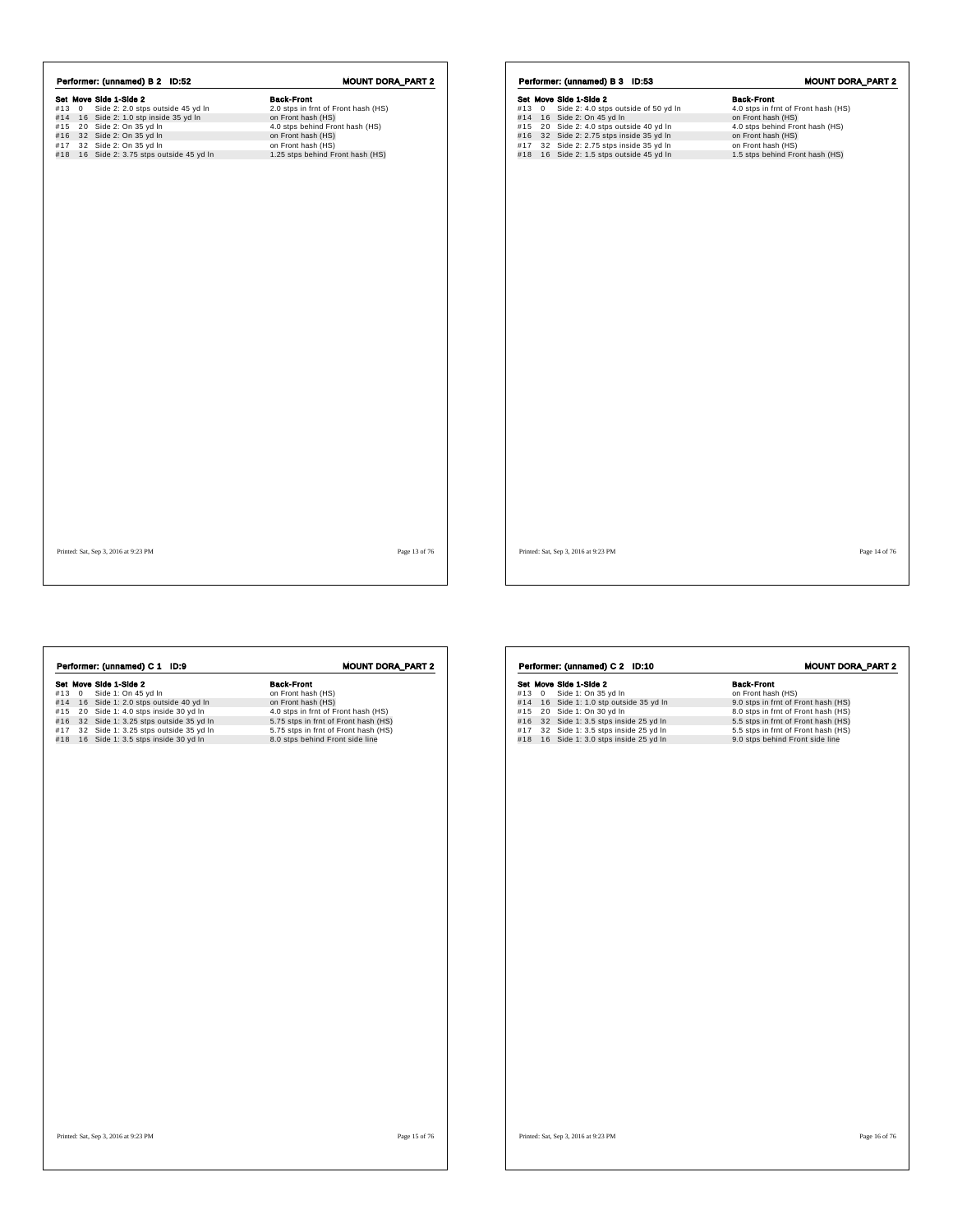| Set Move Side 1-Side 2<br><b>Back-Front</b><br>Side 2: 2.0 stps outside 45 yd In<br>#13 0<br>2.0 stps in frnt of Front hash (HS)<br>#14 16 Side 2: 1.0 stp inside 35 yd In<br>on Front hash (HS)<br>#15 20 Side 2: On 35 yd In<br>4.0 stps behind Front hash (HS)<br>#16 32 Side 2: On 35 yd In<br>on Front hash (HS)<br>#17 32 Side 2: On 35 yd In<br>on Front hash (HS)<br>#18 16 Side 2: 3.75 stps outside 45 yd In<br>1.25 stps behind Front hash (HS) |  | Performer: (unnamed) B 2 ID:52 | <b>MOUNT DORA_PART 2</b> |
|------------------------------------------------------------------------------------------------------------------------------------------------------------------------------------------------------------------------------------------------------------------------------------------------------------------------------------------------------------------------------------------------------------------------------------------------------------|--|--------------------------------|--------------------------|
|                                                                                                                                                                                                                                                                                                                                                                                                                                                            |  |                                |                          |
|                                                                                                                                                                                                                                                                                                                                                                                                                                                            |  |                                |                          |
|                                                                                                                                                                                                                                                                                                                                                                                                                                                            |  |                                |                          |
|                                                                                                                                                                                                                                                                                                                                                                                                                                                            |  |                                |                          |
|                                                                                                                                                                                                                                                                                                                                                                                                                                                            |  |                                |                          |
|                                                                                                                                                                                                                                                                                                                                                                                                                                                            |  |                                |                          |
|                                                                                                                                                                                                                                                                                                                                                                                                                                                            |  |                                |                          |
|                                                                                                                                                                                                                                                                                                                                                                                                                                                            |  |                                |                          |
|                                                                                                                                                                                                                                                                                                                                                                                                                                                            |  |                                |                          |
|                                                                                                                                                                                                                                                                                                                                                                                                                                                            |  |                                |                          |
|                                                                                                                                                                                                                                                                                                                                                                                                                                                            |  |                                |                          |
|                                                                                                                                                                                                                                                                                                                                                                                                                                                            |  |                                |                          |
|                                                                                                                                                                                                                                                                                                                                                                                                                                                            |  |                                |                          |
|                                                                                                                                                                                                                                                                                                                                                                                                                                                            |  |                                |                          |
|                                                                                                                                                                                                                                                                                                                                                                                                                                                            |  |                                |                          |
|                                                                                                                                                                                                                                                                                                                                                                                                                                                            |  |                                |                          |
|                                                                                                                                                                                                                                                                                                                                                                                                                                                            |  |                                |                          |

Set Move Side 1-Side 2<br>
#13 0 Side 2: 4.0 stps outside of 50 yd In 4.0 stps in frnt of Front hash (HS)<br>
#14 16 Side 2: 0 n 45 yd In 4.0 stps outside 40 yd In 4.0 stps behind Front hash (HS)<br>
#15 20 Side 2: 2.75 stps inside **Performer: (unnamed) B 3 ID:53** MOUNT DORA\_PART 2<br> **Set Move Side 1-Side 2**<br>
#13 0 Side 2: 4.0 stps outside of 50 yd In 4.0 stps in frnt of Front hash (HS)<br>
#15 20 Side 2: 0.0 45 yd In on Front hash (HS)<br>
#15 32 Side 2: 2 Printed: Sat, Sep 3, 2016 at 9:23 PM Page 14 of 76

Printed: Sat, Sep 3, 2016 at 9:23 PM Page 13 of 76

| Performer: (unnamed) C 1 ID:9<br>Set Move Side 1-Side 2<br>#13 0 Side 1: On 45 yd In<br>#14 16 Side 1: 2.0 stps outside 40 yd In<br>#15 20 Side 1: 4.0 stps inside 30 yd In<br>#16 32 Side 1: 3.25 stps outside 35 yd In<br>32 Side 1: 3.25 stps outside 35 yd In<br>#17<br>#18 16 Side 1: 3.5 stps inside 30 yd In | <b>MOUNT DORA_PART 2</b><br><b>Back-Front</b><br>on Front hash (HS)<br>on Front hash (HS)<br>4.0 stps in frnt of Front hash (HS)<br>5.75 stps in frnt of Front hash (HS)<br>5.75 stps in frnt of Front hash (HS)<br>8.0 stps behind Front side line | Performer: (unnamed) C 2 ID:10<br>Set Move Side 1-Side 2<br>#13 0 Side 1: On 35 yd In<br>#14 16 Side 1: 1.0 stp outside 35 yd In<br>#15 20 Side 1: On 30 yd In<br>#16 32 Side 1: 3.5 stps inside 25 yd In<br>#17 32 Side 1: 3.5 stps inside 25 yd In<br>#18 16 Side 1: 3.0 stps inside 25 yd In | <b>MOUNT DORA_PART 2</b><br><b>Back-Front</b><br>on Front hash (HS)<br>9.0 stps in frnt of Front hash (HS)<br>8.0 stps in frnt of Front hash (HS)<br>5.5 stps in frnt of Front hash (HS)<br>5.5 stps in frnt of Front hash (HS)<br>9.0 stps behind Front side line |
|---------------------------------------------------------------------------------------------------------------------------------------------------------------------------------------------------------------------------------------------------------------------------------------------------------------------|-----------------------------------------------------------------------------------------------------------------------------------------------------------------------------------------------------------------------------------------------------|-------------------------------------------------------------------------------------------------------------------------------------------------------------------------------------------------------------------------------------------------------------------------------------------------|--------------------------------------------------------------------------------------------------------------------------------------------------------------------------------------------------------------------------------------------------------------------|
|                                                                                                                                                                                                                                                                                                                     |                                                                                                                                                                                                                                                     |                                                                                                                                                                                                                                                                                                 |                                                                                                                                                                                                                                                                    |
| Printed: Sat, Sep 3, 2016 at 9:23 PM                                                                                                                                                                                                                                                                                | Page 15 of 76                                                                                                                                                                                                                                       | Printed: Sat, Sep 3, 2016 at 9:23 PM                                                                                                                                                                                                                                                            | Page 16 of 76                                                                                                                                                                                                                                                      |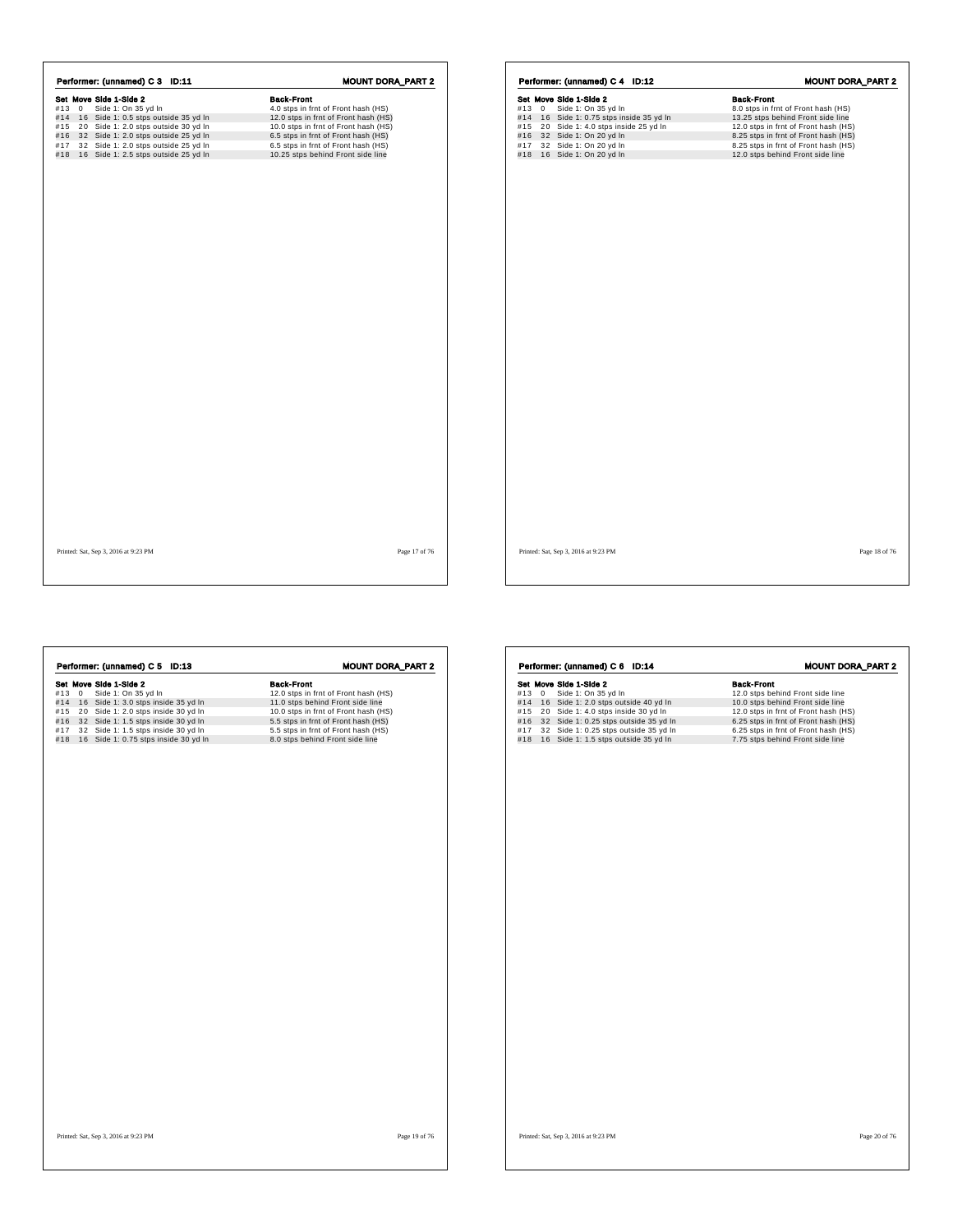|     |              | Performer: (unnamed) C 3 ID:11       | <b>MOUNT DORA_PART 2</b>             |
|-----|--------------|--------------------------------------|--------------------------------------|
|     |              | Set Move Side 1-Side 2               | <b>Back-Front</b>                    |
| #13 | $\mathbf{0}$ | Side 1: On 35 yd In                  | 4.0 stps in frnt of Front hash (HS)  |
| #14 |              | 16 Side 1: 0.5 stps outside 35 yd In | 12.0 stps in frnt of Front hash (HS) |
| #15 |              | 20 Side 1: 2.0 stps outside 30 yd In | 10.0 stps in frnt of Front hash (HS) |
| #16 |              | 32 Side 1: 2.0 stps outside 25 yd In | 6.5 stps in frnt of Front hash (HS)  |
| #17 |              | 32 Side 1: 2.0 stps outside 25 yd In | 6.5 stps in frnt of Front hash (HS)  |
| #18 |              | 16 Side 1: 2.5 stps outside 25 yd In | 10.25 stps behind Front side line    |
|     |              |                                      |                                      |
|     |              |                                      |                                      |
|     |              |                                      |                                      |

|      | Set Move Side 1-Side 2               | <b>Back-Front</b>                    |
|------|--------------------------------------|--------------------------------------|
| #130 | Side 1: On 35 yd In                  | 8.0 stps in frnt of Front hash (HS)  |
| #14  | 16 Side 1: 0.75 stps inside 35 yd In | 13.25 stps behind Front side line    |
| #15  | 20 Side 1: 4.0 stps inside 25 yd In  | 12.0 stps in frnt of Front hash (HS) |
| #16  | 32 Side 1: On 20 yd In               | 8.25 stps in frnt of Front hash (HS) |
| #17  | 32 Side 1: On 20 yd In               | 8.25 stps in frnt of Front hash (HS) |
| #18  | 16 Side 1: On 20 yd In               | 12.0 stps behind Front side line     |
|      |                                      |                                      |
|      |                                      |                                      |
|      |                                      |                                      |
|      |                                      |                                      |
|      |                                      |                                      |
|      |                                      |                                      |
|      |                                      |                                      |

Printed: Sat, Sep 3, 2016 at 9:23 PM Page 17 of 76

Printed: Sat, Sep 3, 2016 at 9:23 PM Page 18 of 76

٦

| Performer: (unnamed) C 5 ID:13             | <b>MOUNT DORA_PART 2</b>             |
|--------------------------------------------|--------------------------------------|
| Set Move Side 1-Side 2                     | <b>Back-Front</b>                    |
| Side 1: On 35 yd In<br>#130                | 12.0 stps in frnt of Front hash (HS) |
| #14 16 Side 1: 3.0 stps inside 35 yd In    | 11.0 stps behind Front side line     |
| 20 Side 1: 2.0 stps inside 30 yd In<br>#15 | 10.0 stps in frnt of Front hash (HS) |
| #16 32 Side 1: 1.5 stps inside 30 yd In    | 5.5 stps in frnt of Front hash (HS)  |
| 32 Side 1: 1.5 stps inside 30 yd In<br>#17 | 5.5 stps in frnt of Front hash (HS)  |
| #18 16 Side 1: 0.75 stps inside 30 yd In   | 8.0 stps behind Front side line      |
|                                            |                                      |
|                                            |                                      |

|     |             | Performer: (unnamed) C 6 ID:14        | <b>MOUNT DORA_PART 2</b>             |
|-----|-------------|---------------------------------------|--------------------------------------|
|     |             | Set Move Side 1-Side 2                | <b>Back-Front</b>                    |
| #13 | $\mathbf 0$ | Side 1: On 35 yd In                   | 12.0 stps behind Front side line     |
| #14 |             | 16 Side 1: 2.0 stps outside 40 yd In  | 10.0 stps behind Front side line     |
| #15 |             | 20 Side 1: 4.0 stps inside 30 yd In   | 12.0 stps in frnt of Front hash (HS) |
| #16 |             | 32 Side 1: 0.25 stps outside 35 yd In | 6.25 stps in frnt of Front hash (HS) |
| #17 |             | 32 Side 1: 0.25 stps outside 35 yd In | 6.25 stps in frnt of Front hash (HS) |
| #18 |             | 16 Side 1: 1.5 stps outside 35 yd In  | 7.75 stps behind Front side line     |
|     |             |                                       |                                      |
|     |             |                                       |                                      |
|     |             |                                       |                                      |
|     |             |                                       |                                      |
|     |             |                                       |                                      |
|     |             |                                       |                                      |
|     |             |                                       |                                      |
|     |             |                                       |                                      |
|     |             |                                       |                                      |
|     |             |                                       |                                      |
|     |             |                                       |                                      |
|     |             |                                       |                                      |
|     |             |                                       |                                      |
|     |             |                                       |                                      |
|     |             |                                       |                                      |
|     |             |                                       |                                      |
|     |             |                                       |                                      |
|     |             |                                       |                                      |
|     |             |                                       |                                      |
|     |             |                                       |                                      |
|     |             |                                       |                                      |
|     |             |                                       |                                      |
|     |             |                                       |                                      |
|     |             |                                       |                                      |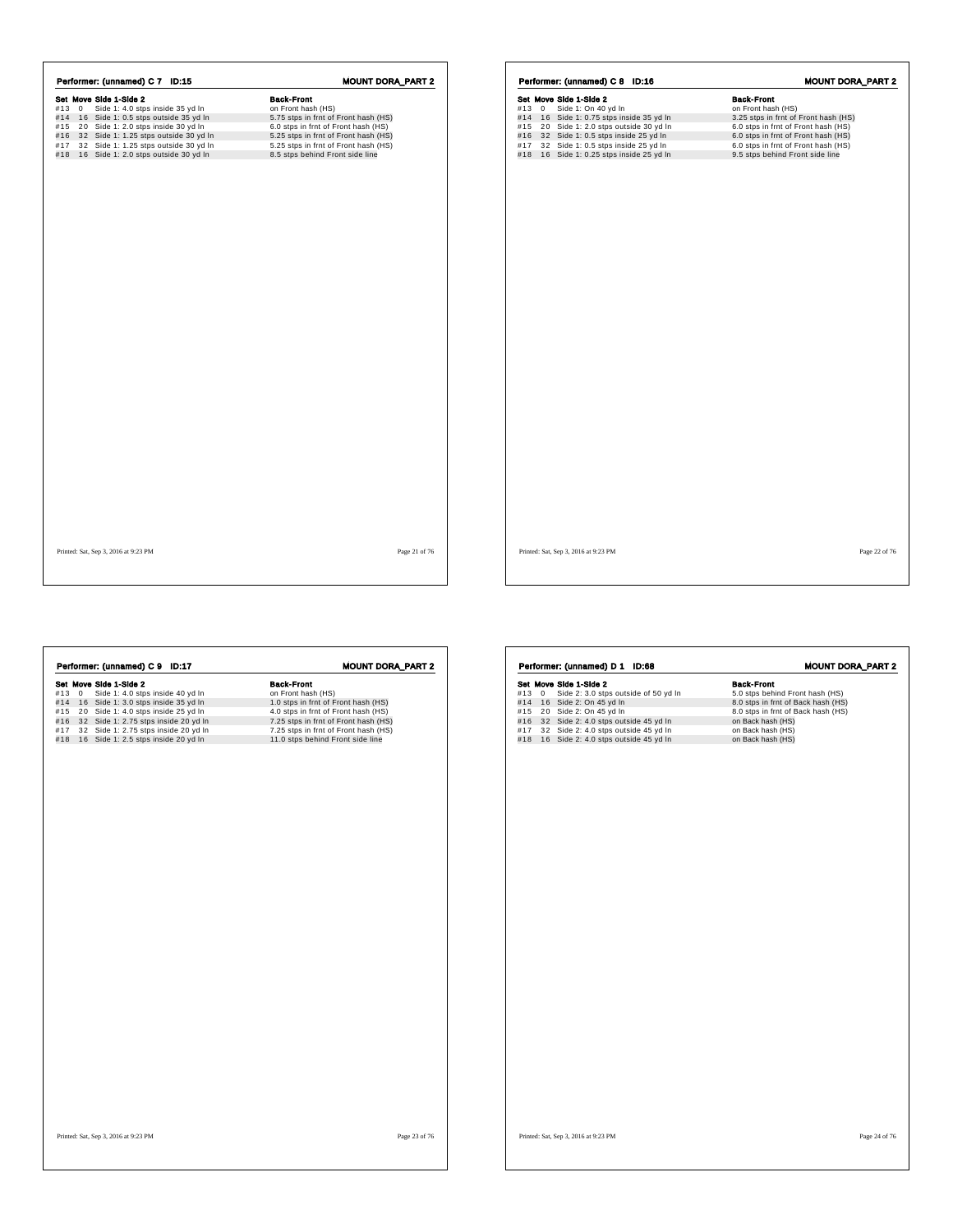|       | Set Move Side 1-Side 2                    | <b>Back-Front</b>                    |
|-------|-------------------------------------------|--------------------------------------|
| #13 0 | Side 1: 4.0 stps inside 35 yd In          | on Front hash (HS)                   |
|       | #14 16 Side 1: 0.5 stps outside 35 yd In  | 5.75 stps in frnt of Front hash (HS) |
|       | #15 20 Side 1: 2.0 stps inside 30 yd In   | 6.0 stps in frnt of Front hash (HS)  |
|       | #16 32 Side 1: 1.25 stps outside 30 yd In | 5.25 stps in frnt of Front hash (HS) |
| #17   | 32 Side 1: 1.25 stps outside 30 yd In     | 5.25 stps in frnt of Front hash (HS) |
|       | #18 16 Side 1: 2.0 stps outside 30 yd In  | 8.5 stps behind Front side line      |
|       |                                           |                                      |
|       |                                           |                                      |
|       |                                           |                                      |
|       |                                           |                                      |
|       |                                           |                                      |
|       |                                           |                                      |

|            |                | Performer: (unnamed) C 8 ID:16                                             |  |                                                                            | <b>MOUNT DORA_PART 2</b> |  |
|------------|----------------|----------------------------------------------------------------------------|--|----------------------------------------------------------------------------|--------------------------|--|
|            |                | Set Move Side 1-Side 2                                                     |  | <b>Back-Front</b>                                                          |                          |  |
| #13        | $\overline{0}$ | Side 1: On 40 yd In                                                        |  | on Front hash (HS)                                                         |                          |  |
| #14        |                | 16 Side 1: 0.75 stps inside 35 yd In                                       |  | 3.25 stps in frnt of Front hash (HS)                                       |                          |  |
| #15        |                | 20 Side 1: 2.0 stps outside 30 yd In                                       |  | 6.0 stps in frnt of Front hash (HS)                                        |                          |  |
| #16<br>#17 |                | 32 Side 1: 0.5 stps inside 25 yd In<br>32 Side 1: 0.5 stps inside 25 yd In |  | 6.0 stps in frnt of Front hash (HS)<br>6.0 stps in frnt of Front hash (HS) |                          |  |
| #18        |                | 16 Side 1: 0.25 stps inside 25 yd In                                       |  | 9.5 stps behind Front side line                                            |                          |  |
|            |                |                                                                            |  |                                                                            |                          |  |
|            |                |                                                                            |  |                                                                            |                          |  |
|            |                |                                                                            |  |                                                                            |                          |  |
|            |                |                                                                            |  |                                                                            |                          |  |
|            |                |                                                                            |  |                                                                            |                          |  |
|            |                |                                                                            |  |                                                                            |                          |  |
|            |                |                                                                            |  |                                                                            |                          |  |
|            |                |                                                                            |  |                                                                            |                          |  |
|            |                |                                                                            |  |                                                                            |                          |  |
|            |                |                                                                            |  |                                                                            |                          |  |
|            |                |                                                                            |  |                                                                            |                          |  |
|            |                |                                                                            |  |                                                                            |                          |  |
|            |                |                                                                            |  |                                                                            |                          |  |
|            |                |                                                                            |  |                                                                            |                          |  |
|            |                |                                                                            |  |                                                                            |                          |  |
|            |                |                                                                            |  |                                                                            |                          |  |
|            |                |                                                                            |  |                                                                            |                          |  |
|            |                |                                                                            |  |                                                                            |                          |  |
|            |                |                                                                            |  |                                                                            |                          |  |

Printed: Sat, Sep 3, 2016 at 9:23 PM Page 21 of 76

| Performer: (unnamed) C 9 ID:17                                                                                                                                                                                                                                                            | <b>MOUNT DORA_PART 2</b>                                                                                                                                                                                                                  | Performer: (unnamed) D 1 ID:68                                                                                                                                                                                                                                       | <b>MOUNT DORA_PART 2</b>                                                                                                                                                                        |
|-------------------------------------------------------------------------------------------------------------------------------------------------------------------------------------------------------------------------------------------------------------------------------------------|-------------------------------------------------------------------------------------------------------------------------------------------------------------------------------------------------------------------------------------------|----------------------------------------------------------------------------------------------------------------------------------------------------------------------------------------------------------------------------------------------------------------------|-------------------------------------------------------------------------------------------------------------------------------------------------------------------------------------------------|
| Set Move Side 1-Side 2<br>#13 0 Side 1: 4.0 stps inside 40 yd In<br>#14 16 Side 1: 3.0 stps inside 35 yd In<br>#15 20 Side 1: 4.0 stps inside 25 yd In<br>#16 32 Side 1: 2.75 stps inside 20 yd In<br>#17 32 Side 1: 2.75 stps inside 20 yd In<br>#18 16 Side 1: 2.5 stps inside 20 yd In | <b>Back-Front</b><br>on Front hash (HS)<br>1.0 stps in frnt of Front hash (HS)<br>4.0 stps in frnt of Front hash (HS)<br>7.25 stps in frnt of Front hash (HS)<br>7.25 stps in frnt of Front hash (HS)<br>11.0 stps behind Front side line | Set Move Side 1-Side 2<br>#13 0 Side 2: 3.0 stps outside of 50 yd In<br>#14 16 Side 2: On 45 yd In<br>#15 20 Side 2: On 45 yd In<br>#16 32 Side 2: 4.0 stps outside 45 yd In<br>#17 32 Side 2: 4.0 stps outside 45 yd In<br>#18 16 Side 2: 4.0 stps outside 45 yd In | <b>Back-Front</b><br>5.0 stps behind Front hash (HS)<br>8.0 stps in frnt of Back hash (HS)<br>8.0 stps in frnt of Back hash (HS)<br>on Back hash (HS)<br>on Back hash (HS)<br>on Back hash (HS) |
|                                                                                                                                                                                                                                                                                           |                                                                                                                                                                                                                                           |                                                                                                                                                                                                                                                                      |                                                                                                                                                                                                 |
|                                                                                                                                                                                                                                                                                           |                                                                                                                                                                                                                                           |                                                                                                                                                                                                                                                                      |                                                                                                                                                                                                 |
| Printed: Sat, Sep 3, 2016 at 9:23 PM                                                                                                                                                                                                                                                      | Page 23 of 76                                                                                                                                                                                                                             | Printed: Sat, Sep 3, 2016 at 9:23 PM                                                                                                                                                                                                                                 | Page 24 of 76                                                                                                                                                                                   |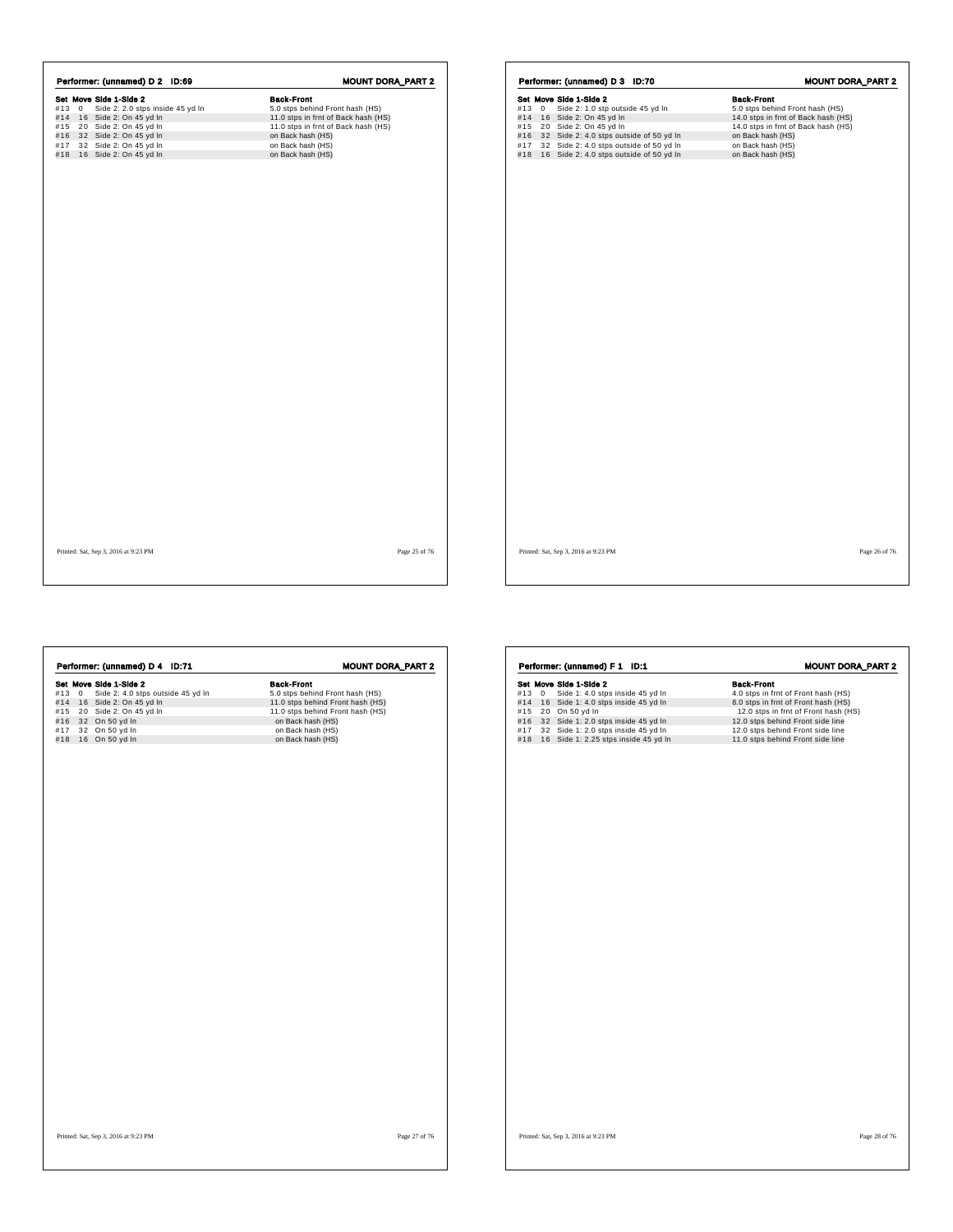|       | Performer: (unnamed) D 2 ID:69   | <b>MOUNT DORA_PART 2</b>            |
|-------|----------------------------------|-------------------------------------|
|       | Set Move Side 1-Side 2           | <b>Back-Front</b>                   |
| #13 0 | Side 2: 2.0 stps inside 45 yd In | 5.0 stps behind Front hash (HS)     |
|       | #14 16 Side 2: On 45 yd In       | 11.0 stps in frnt of Back hash (HS) |
|       | #15 20 Side 2: On 45 yd In       | 11.0 stps in frnt of Back hash (HS) |
|       | #16 32 Side 2: On 45 yd In       | on Back hash (HS)                   |
| #17   | 32 Side 2: On 45 yd In           | on Back hash (HS)                   |
|       | #18 16 Side 2: On 45 yd In       | on Back hash (HS)                   |
|       |                                  |                                     |
|       |                                  |                                     |
|       |                                  |                                     |
|       |                                  |                                     |
|       |                                  |                                     |
|       |                                  |                                     |
|       |                                  |                                     |
|       |                                  |                                     |
|       |                                  |                                     |
|       |                                  |                                     |
|       |                                  |                                     |
|       |                                  |                                     |
|       |                                  |                                     |
|       |                                  |                                     |
|       |                                  |                                     |
|       |                                  |                                     |
|       |                                  |                                     |
|       |                                  |                                     |
|       |                                  |                                     |
|       |                                  |                                     |
|       |                                  |                                     |
|       |                                  |                                     |
|       |                                  |                                     |
|       |                                  |                                     |
|       |                                  |                                     |
|       |                                  |                                     |
|       |                                  |                                     |

|     |             | Performer: (unnamed) D 3 ID:70          | <b>MOUNT DORA_PART 2</b>            |
|-----|-------------|-----------------------------------------|-------------------------------------|
|     |             | Set Move Side 1-Side 2                  | <b>Back-Front</b>                   |
| #13 | $\mathbf 0$ | Side 2: 1.0 stp outside 45 yd In        | 5.0 stps behind Front hash (HS)     |
|     |             | #14 16 Side 2: On 45 yd In              | 14.0 stps in frnt of Back hash (HS) |
| #15 |             | 20 Side 2: On 45 yd In                  | 14.0 stps in frnt of Back hash (HS) |
| #16 |             | 32 Side 2: 4.0 stps outside of 50 yd In | on Back hash (HS)                   |
| #17 |             | 32 Side 2: 4.0 stps outside of 50 yd In | on Back hash (HS)                   |
| #18 |             | 16 Side 2: 4.0 stps outside of 50 yd In | on Back hash (HS)                   |
|     |             |                                         |                                     |
|     |             |                                         |                                     |
|     |             |                                         |                                     |
|     |             |                                         |                                     |
|     |             |                                         |                                     |
|     |             | Printed: Sat, Sep 3, 2016 at 9:23 PM    | Page 26 of 76                       |

Printed: Sat, Sep 3, 2016 at 9:23 PM Page 25 of 76

 $\sqrt{ }$ 

|     |             | Performer: (unnamed) F 1<br>ID:1     | <b>MOUNT DORA_PART 2</b>             |
|-----|-------------|--------------------------------------|--------------------------------------|
|     |             | Set Move Side 1-Side 2               | <b>Back-Front</b>                    |
| #13 | $\mathbf 0$ | Side 1: 4.0 stps inside 45 yd In     | 4.0 stps in frnt of Front hash (HS)  |
| #14 |             | 16 Side 1: 4.0 stps inside 45 yd In  | 8.0 stps in frnt of Front hash (HS)  |
| #15 |             | 20 On 50 yd In                       | 12.0 stps in frnt of Front hash (HS) |
| #16 |             | 32 Side 1: 2.0 stps inside 45 yd In  | 12.0 stps behind Front side line     |
| #17 |             | 32 Side 1: 2.0 stps inside 45 yd In  | 12.0 stps behind Front side line     |
| #18 |             | 16 Side 1: 2.25 stps inside 45 yd In | 11.0 stps behind Front side line     |
|     |             |                                      |                                      |
|     |             |                                      |                                      |
|     |             |                                      |                                      |
|     |             |                                      |                                      |
|     |             |                                      |                                      |
|     |             |                                      |                                      |
|     |             |                                      |                                      |
|     |             |                                      |                                      |

Printed: Sat, Sep 3, 2016 at 9:23 PM Page 28 of 76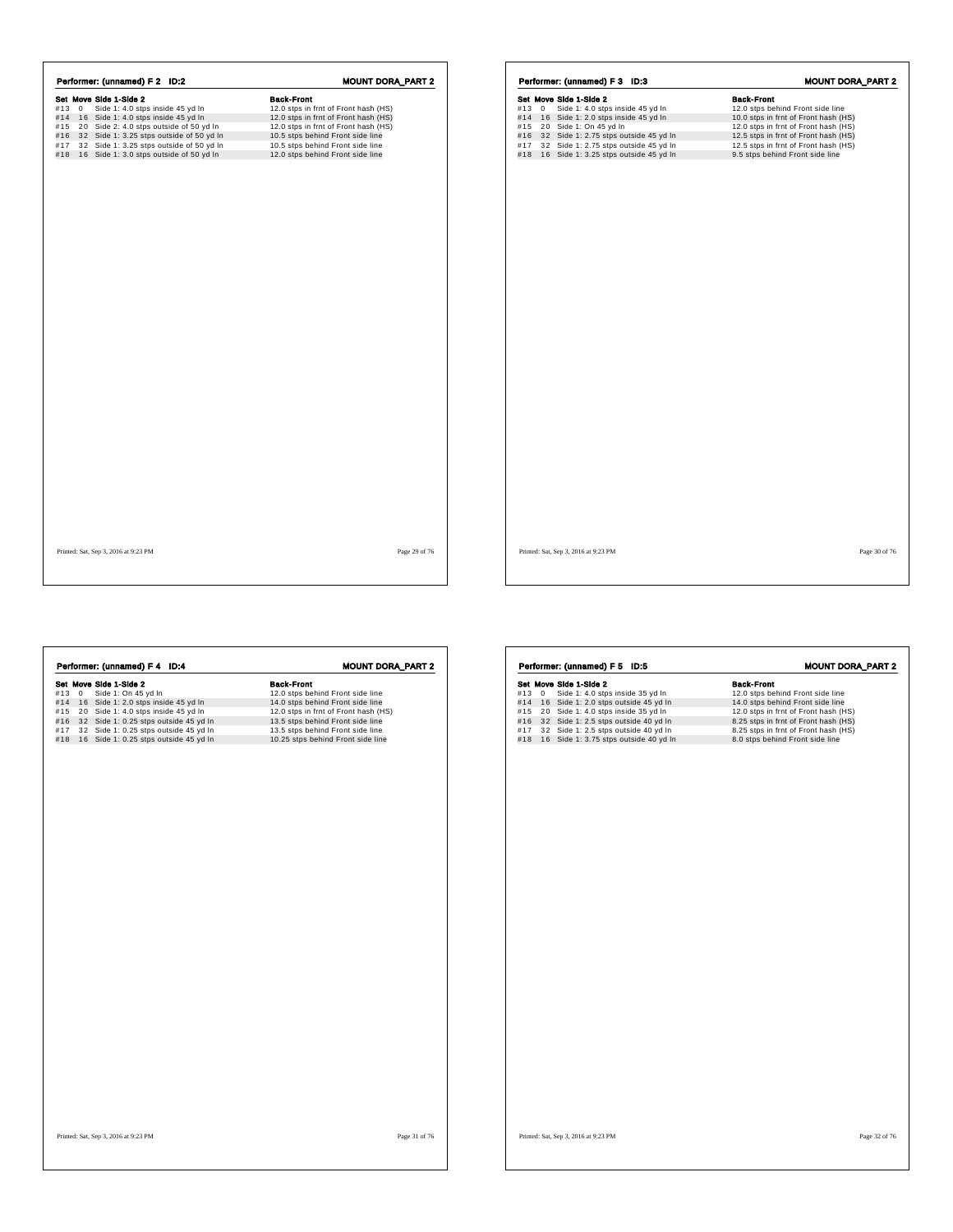|           | Set Move Side 1-Side 2                   | <b>Back-Front</b>                    |
|-----------|------------------------------------------|--------------------------------------|
| $#13 \ 0$ | Side 1: 4.0 stps inside 45 yd In         | 12.0 stps in frnt of Front hash (HS) |
| #14       | 16 Side 1: 4.0 stps inside 45 yd In      | 12.0 stps in frnt of Front hash (HS) |
| #15       | 20 Side 2: 4.0 stps outside of 50 yd In  | 12.0 stps in frnt of Front hash (HS) |
| #16       | 32 Side 1: 3.25 stps outside of 50 yd In | 10.5 stps behind Front side line     |
| #17       | 32 Side 1: 3.25 stps outside of 50 yd In | 10.5 stps behind Front side line     |
| #18       | 16 Side 1: 3.0 stps outside of 50 yd In  | 12.0 stps behind Front side line     |
|           |                                          |                                      |

|     |              | Performer: (unnamed) F 3 ID:3             |                   | <b>MOUNT DORA_PART 2</b>             |  |
|-----|--------------|-------------------------------------------|-------------------|--------------------------------------|--|
|     |              | Set Move Side 1-Side 2                    | <b>Back-Front</b> |                                      |  |
| #13 | $\mathbf{0}$ | Side 1: 4.0 stps inside 45 yd In          |                   | 12.0 stps behind Front side line     |  |
|     |              | #14 16 Side 1: 2.0 stps inside 45 yd In   |                   | 10.0 stps in frnt of Front hash (HS) |  |
|     |              | #15 20 Side 1: On 45 yd In                |                   | 12.0 stps in frnt of Front hash (HS) |  |
|     |              | #16 32 Side 1: 2.75 stps outside 45 yd In |                   | 12.5 stps in frnt of Front hash (HS) |  |
| #17 |              | 32 Side 1: 2.75 stps outside 45 yd In     |                   | 12.5 stps in frnt of Front hash (HS) |  |
|     |              | #18 16 Side 1: 3.25 stps outside 45 yd In |                   | 9.5 stps behind Front side line      |  |
|     |              |                                           |                   |                                      |  |
|     |              |                                           |                   |                                      |  |
|     |              |                                           |                   |                                      |  |
|     |              |                                           |                   |                                      |  |
|     |              |                                           |                   |                                      |  |
|     |              |                                           |                   |                                      |  |
|     |              |                                           |                   |                                      |  |
|     |              |                                           |                   |                                      |  |
|     |              |                                           |                   |                                      |  |
|     |              |                                           |                   |                                      |  |
|     |              |                                           |                   |                                      |  |
|     |              |                                           |                   |                                      |  |
|     |              |                                           |                   |                                      |  |
|     |              |                                           |                   |                                      |  |
|     |              |                                           |                   |                                      |  |
|     |              |                                           |                   |                                      |  |
|     |              |                                           |                   |                                      |  |

Printed: Sat, Sep 3, 2016 at 9:23 PM Page 29 of 76

| Performer: (unnamed) F 4 ID:4                                                                                                                                                                                                                                                       | <b>MOUNT DORA_PART 2</b>                                                                                                                                                                                                                       | Performer: (unnamed) F 5 ID:5                                                                                                                                                                                                                                                               |
|-------------------------------------------------------------------------------------------------------------------------------------------------------------------------------------------------------------------------------------------------------------------------------------|------------------------------------------------------------------------------------------------------------------------------------------------------------------------------------------------------------------------------------------------|---------------------------------------------------------------------------------------------------------------------------------------------------------------------------------------------------------------------------------------------------------------------------------------------|
| Set Move Side 1-Side 2<br>#13 0<br>Side 1: On 45 yd In<br>#14 16 Side 1: 2.0 stps inside 45 yd In<br>#15 20 Side 1: 4.0 stps inside 45 yd In<br>#16 32 Side 1: 0.25 stps outside 45 yd In<br>#17 32 Side 1: 0.25 stps outside 45 yd In<br>#18 16 Side 1: 0.25 stps outside 45 yd In | <b>Back-Front</b><br>12.0 stps behind Front side line<br>14.0 stps behind Front side line<br>12.0 stps in frnt of Front hash (HS)<br>13.5 stps behind Front side line<br>13.5 stps behind Front side line<br>10.25 stps behind Front side line | Set Move Side 1-Side 2<br>#13 0 Side 1: 4.0 stps inside 35 yd In<br>#14 16 Side 1: 2.0 stps outside 45 yd In<br>#15 20 Side 1: 4.0 stps inside 35 yd In<br>#16 32 Side 1: 2.5 stps outside 40 yd In<br>#17 32 Side 1: 2.5 stps outside 40 yd In<br>#18 16 Side 1: 3.75 stps outside 40 yd I |
| Printed: Sat, Sep 3, 2016 at 9:23 PM                                                                                                                                                                                                                                                | Page 31 of 76                                                                                                                                                                                                                                  | Printed: Sat, Sep 3, 2016 at 9:23 PM                                                                                                                                                                                                                                                        |

Set Move Side 1-Side 2<br>
#13 0 Side 1: 4.0 stps inside 35 yd In 12.0 stps behind Front side line<br>
#14 16 Side 1: 2.0 stps outside 45 yd In 14.0 stps behind Front side line<br>
#15 20 Side 1: 4.0 stps inside 45 yd In 12.0 stps MOUNT DORA\_PART 2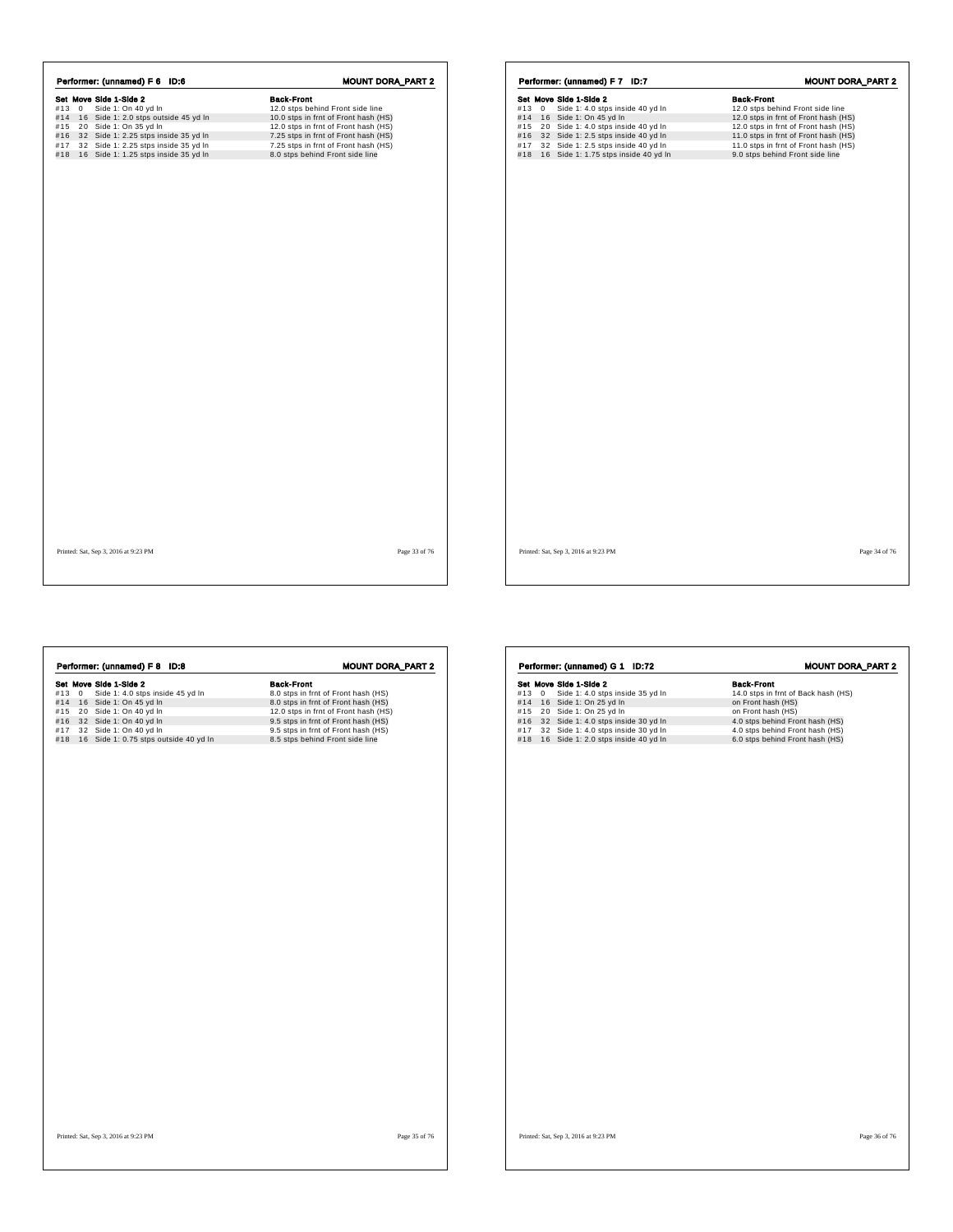|     |           | Set Move Side 1-Side 2               | <b>Back-Front</b>                    |
|-----|-----------|--------------------------------------|--------------------------------------|
|     | $#13 \ 0$ | Side 1: On 40 yd In                  | 12.0 stps behind Front side line     |
| #14 |           | 16 Side 1: 2.0 stps outside 45 yd In | 10.0 stps in frnt of Front hash (HS) |
| #15 |           | 20 Side 1: On 35 yd In               | 12.0 stps in frnt of Front hash (HS) |
| #16 |           | 32 Side 1: 2.25 stps inside 35 yd In | 7.25 stps in frnt of Front hash (HS) |
| #17 |           | 32 Side 1: 2.25 stps inside 35 yd In | 7.25 stps in frnt of Front hash (HS) |
| #18 |           | 16 Side 1: 1.25 stps inside 35 yd In | 8.0 stps behind Front side line      |
|     |           |                                      |                                      |
|     |           |                                      |                                      |
|     |           |                                      |                                      |
|     |           |                                      |                                      |

|     |   | Set Move Side 1-Side 2                   | <b>Back-Front</b>                    |
|-----|---|------------------------------------------|--------------------------------------|
| #13 | 0 | Side 1: 4.0 stps inside 40 yd In         | 12.0 stps behind Front side line     |
|     |   | #14 16 Side 1: On 45 yd In               | 12.0 stps in frnt of Front hash (HS) |
|     |   | #15 20 Side 1: 4.0 stps inside 40 yd In  | 12.0 stps in frnt of Front hash (HS) |
|     |   | #16 32 Side 1: 2.5 stps inside 40 yd In  | 11.0 stps in frnt of Front hash (HS) |
| #17 |   | 32 Side 1: 2.5 stps inside 40 yd In      | 11.0 stps in frnt of Front hash (HS) |
|     |   | #18 16 Side 1: 1.75 stps inside 40 yd In | 9.0 stps behind Front side line      |
|     |   |                                          |                                      |
|     |   |                                          |                                      |
|     |   |                                          |                                      |
|     |   |                                          |                                      |
|     |   |                                          |                                      |
|     |   |                                          |                                      |
|     |   |                                          |                                      |
|     |   |                                          |                                      |
|     |   |                                          |                                      |
|     |   |                                          |                                      |
|     |   |                                          |                                      |
|     |   |                                          |                                      |
|     |   |                                          |                                      |
|     |   |                                          |                                      |
|     |   |                                          |                                      |
|     |   |                                          |                                      |
|     |   |                                          |                                      |
|     |   |                                          |                                      |
|     |   |                                          |                                      |
|     |   |                                          |                                      |
|     |   |                                          |                                      |
|     |   |                                          |                                      |
|     |   |                                          |                                      |
|     |   |                                          |                                      |
|     |   |                                          |                                      |
|     |   |                                          |                                      |

Printed: Sat, Sep 3, 2016 at 9:23 PM Page 33 of 76

Printed: Sat, Sep 3, 2016 at 9:23 PM Page 34 of 76

**Sack Move Side 1-Side 2**<br> **Sack Move Side 1:** On 45 yd In a Back-Front hash (HS)<br>
#13 0 Side 1: On 45 yd In 8.0 stps in frnt of Front hash (HS)<br>
#15 20 Side 1: On 40 yd In 12.0 stps in frnt of Front hash (HS)<br>
#16 32 Side Performer: (unnamed) F 8 ID:8 MOUNT DORA\_PART 2 Printed: Sat, Sep 3, 2016 at 9:23 PM Page 35 of 76 **Set Move Side 1-Side 2**<br> **Side 1:** 4.0 stps inside 35 yd In 14.0 stps in frnt of Back hash (HS)<br>
#13 0 Side 1: On 25 yd In 16.0 stp in 16.0 stp in 16.1 cm in 16.1 cm in 16.1 cm in 16.1 cm in 16.1 cm in 16.1<br>
#16 32 Side **Performer: (unnamed) G 1 ID:72 MOUNT DORA\_PART 2**<br> **Set Move Side 1: 4.0 stps inside 35 yd In**<br>
#13 0 Side 1: 4.0 stps inside 35 yd In 14.0 stps in fint of Back hash (HS)<br>
#15 20 Side 1: 0 n 25 yd In 1 on Front hash (HS)<br> Printed: Sat, Sep 3, 2016 at 9:23 PM Page 36 of 76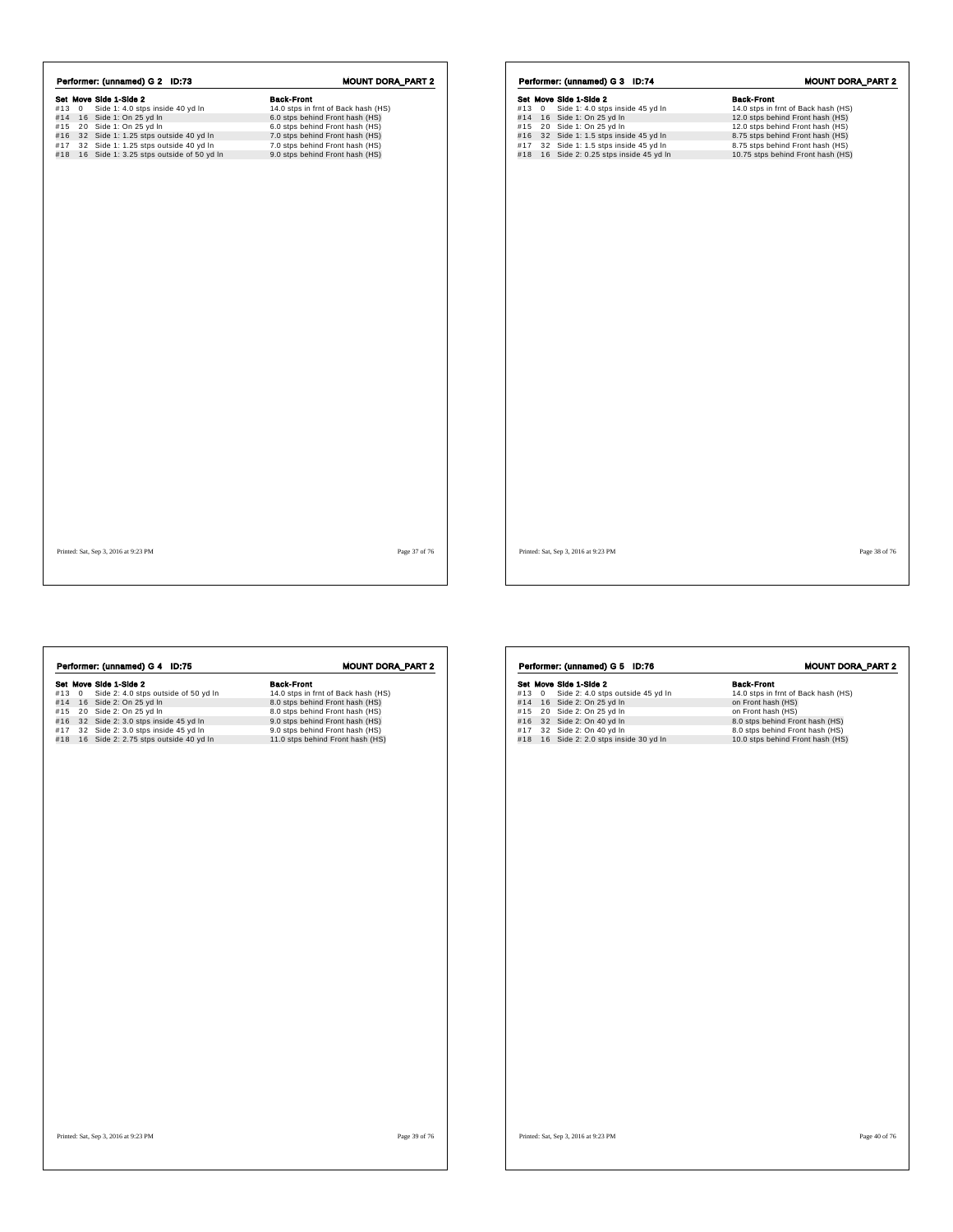| Set Move Side 1-Side 2<br>Side 1: 4.0 stps inside 40 yd In<br>$\mathbf{0}$<br>#13<br>16 Side 1: On 25 yd In<br>#14<br>#15 | <b>Back-Front</b><br>14.0 stps in frnt of Back hash (HS) |
|---------------------------------------------------------------------------------------------------------------------------|----------------------------------------------------------|
|                                                                                                                           |                                                          |
|                                                                                                                           |                                                          |
|                                                                                                                           | 6.0 stps behind Front hash (HS)                          |
| 20 Side 1: On 25 yd In                                                                                                    | 6.0 stps behind Front hash (HS)                          |
| 32 Side 1: 1.25 stps outside 40 yd In<br>#16                                                                              | 7.0 stps behind Front hash (HS)                          |
| 32 Side 1: 1.25 stps outside 40 yd In<br>#17                                                                              | 7.0 stps behind Front hash (HS)                          |
| 16 Side 1: 3.25 stps outside of 50 yd In<br>#18                                                                           | 9.0 stps behind Front hash (HS)                          |

|       | Performer: (unnamed) G 3 ID:74           | <b>MOUNT DORA_PART 2</b>            |
|-------|------------------------------------------|-------------------------------------|
|       | Set Move Side 1-Side 2                   | <b>Back-Front</b>                   |
| #13 0 | Side 1: 4.0 stps inside 45 yd In         | 14.0 stps in frnt of Back hash (HS) |
|       | #14 16 Side 1: On 25 yd In               | 12.0 stps behind Front hash (HS)    |
|       | #15 20 Side 1: On 25 yd In               | 12.0 stps behind Front hash (HS)    |
|       | #16 32 Side 1: 1.5 stps inside 45 yd In  | 8.75 stps behind Front hash (HS)    |
|       | #17 32 Side 1: 1.5 stps inside 45 yd In  | 8.75 stps behind Front hash (HS)    |
|       | #18 16 Side 2: 0.25 stps inside 45 yd In | 10.75 stps behind Front hash (HS)   |
|       |                                          |                                     |
|       |                                          |                                     |
|       |                                          |                                     |
|       |                                          |                                     |
|       |                                          |                                     |
|       |                                          |                                     |
|       |                                          |                                     |
|       |                                          |                                     |
|       |                                          |                                     |
|       |                                          |                                     |
|       |                                          |                                     |
|       |                                          |                                     |
|       |                                          |                                     |
|       |                                          |                                     |
|       |                                          |                                     |
|       |                                          |                                     |
|       |                                          |                                     |
|       |                                          |                                     |
|       |                                          |                                     |
|       |                                          |                                     |
|       |                                          |                                     |
|       |                                          |                                     |
|       |                                          |                                     |
|       |                                          |                                     |
|       |                                          |                                     |
|       |                                          |                                     |

Printed: Sat, Sep 3, 2016 at 9:23 PM Page 37 of 76

Printed: Sat, Sep 3, 2016 at 9:23 PM Page 38 of 76

| Set Move Side 1-Side 2<br><b>Back-Front</b><br>Side 2: 4.0 stps outside of 50 yd In<br>14.0 stps in frnt of Back hash (HS)<br>$\overline{0}$<br>#14 16 Side 2: On 25 yd In<br>8.0 stps behind Front hash (HS)<br>20 Side 2: On 25 yd In<br>8.0 stps behind Front hash (HS)<br>32 Side 2: 3.0 stps inside 45 yd In<br>9.0 stps behind Front hash (HS)<br>32 Side 2: 3.0 stps inside 45 yd In<br>9.0 stps behind Front hash (HS)<br>16 Side 2: 2.75 stps outside 40 yd In<br>11.0 stps behind Front hash (HS) |            | Performer: (unnamed) G 4 ID:75 | <b>MOUNT DORA_PART 2</b> |
|-------------------------------------------------------------------------------------------------------------------------------------------------------------------------------------------------------------------------------------------------------------------------------------------------------------------------------------------------------------------------------------------------------------------------------------------------------------------------------------------------------------|------------|--------------------------------|--------------------------|
|                                                                                                                                                                                                                                                                                                                                                                                                                                                                                                             |            |                                |                          |
|                                                                                                                                                                                                                                                                                                                                                                                                                                                                                                             | #13        |                                |                          |
|                                                                                                                                                                                                                                                                                                                                                                                                                                                                                                             |            |                                |                          |
|                                                                                                                                                                                                                                                                                                                                                                                                                                                                                                             | #15        |                                |                          |
|                                                                                                                                                                                                                                                                                                                                                                                                                                                                                                             | #16        |                                |                          |
|                                                                                                                                                                                                                                                                                                                                                                                                                                                                                                             | #17<br>#18 |                                |                          |
|                                                                                                                                                                                                                                                                                                                                                                                                                                                                                                             |            |                                |                          |
|                                                                                                                                                                                                                                                                                                                                                                                                                                                                                                             |            |                                |                          |
| Page 39 of 76<br>Printed: Sat, Sep 3, 2016 at 9:23 PM                                                                                                                                                                                                                                                                                                                                                                                                                                                       |            |                                |                          |

| #13 0 | Set Move Side 1-Side 2<br>Side 2: 4.0 stps outside 45 yd In       | <b>Back-Front</b><br>14.0 stps in frnt of Back hash (HS)            |
|-------|-------------------------------------------------------------------|---------------------------------------------------------------------|
|       |                                                                   |                                                                     |
|       | #14 16 Side 2: On 25 yd In                                        | on Front hash (HS)                                                  |
| #15   | 20 Side 2: On 25 yd In                                            | on Front hash (HS)                                                  |
| #16   | 32 Side 2: On 40 yd In                                            | 8.0 stps behind Front hash (HS)                                     |
| #17   | 32 Side 2: On 40 yd In<br>#18 16 Side 2: 2.0 stps inside 30 yd In | 8.0 stps behind Front hash (HS)<br>10.0 stps behind Front hash (HS) |
|       |                                                                   |                                                                     |
|       |                                                                   |                                                                     |
|       |                                                                   |                                                                     |
|       |                                                                   |                                                                     |
|       |                                                                   |                                                                     |
|       |                                                                   |                                                                     |
|       |                                                                   |                                                                     |
|       |                                                                   |                                                                     |
|       |                                                                   |                                                                     |
|       |                                                                   |                                                                     |
|       |                                                                   |                                                                     |
|       |                                                                   |                                                                     |
|       |                                                                   |                                                                     |
|       |                                                                   |                                                                     |
|       |                                                                   |                                                                     |
|       |                                                                   |                                                                     |
|       |                                                                   |                                                                     |
|       |                                                                   |                                                                     |
|       |                                                                   |                                                                     |
|       |                                                                   |                                                                     |
|       |                                                                   |                                                                     |
|       |                                                                   |                                                                     |
|       |                                                                   |                                                                     |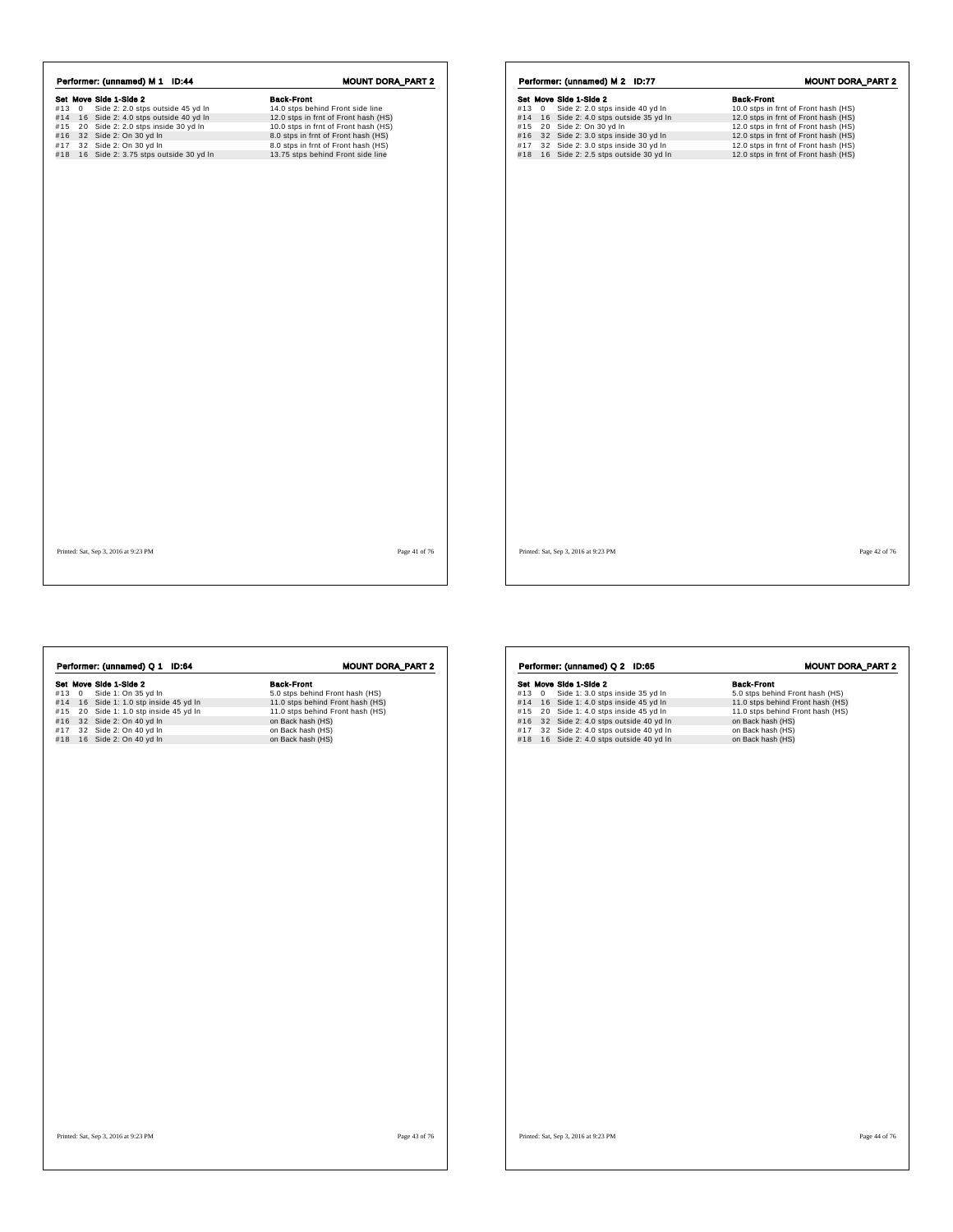|     |             | Performer: (unnamed) M 2 ID:77       | <b>MOUNT DORA_PART 2</b>             |
|-----|-------------|--------------------------------------|--------------------------------------|
|     |             | Set Move Side 1-Side 2               | <b>Back-Front</b>                    |
| #13 | $\mathbf 0$ | Side 2: 2.0 stps inside 40 yd In     | 10.0 stps in frnt of Front hash (HS) |
| #14 |             | 16 Side 2: 4.0 stps outside 35 yd In | 12.0 stps in frnt of Front hash (HS) |
| #15 |             | 20 Side 2: On 30 yd In               | 12.0 stps in frnt of Front hash (HS) |
| #16 |             | 32 Side 2: 3.0 stps inside 30 yd In  | 12.0 stps in frnt of Front hash (HS) |
| #17 |             | 32 Side 2: 3.0 stps inside 30 yd In  | 12.0 stps in frnt of Front hash (HS) |
| #18 |             | 16 Side 2: 2.5 stps outside 30 yd In | 12.0 stps in frnt of Front hash (HS) |
|     |             |                                      |                                      |
|     |             |                                      |                                      |
|     |             |                                      |                                      |
|     |             |                                      |                                      |
|     |             |                                      |                                      |
|     |             |                                      |                                      |
|     |             |                                      |                                      |
|     |             |                                      |                                      |
|     |             |                                      |                                      |
|     |             |                                      |                                      |
|     |             |                                      |                                      |
|     |             |                                      |                                      |
|     |             |                                      |                                      |
|     |             |                                      |                                      |
|     |             |                                      |                                      |
|     |             |                                      |                                      |
|     |             |                                      |                                      |
|     |             |                                      |                                      |
|     |             |                                      |                                      |
|     |             |                                      |                                      |
|     |             |                                      |                                      |
|     |             |                                      |                                      |
|     |             |                                      |                                      |

Printed: Sat, Sep 3, 2016 at 9:23 PM Page 41 of 76

Printed: Sat, Sep 3, 2016 at 9:23 PM Page 42 of 76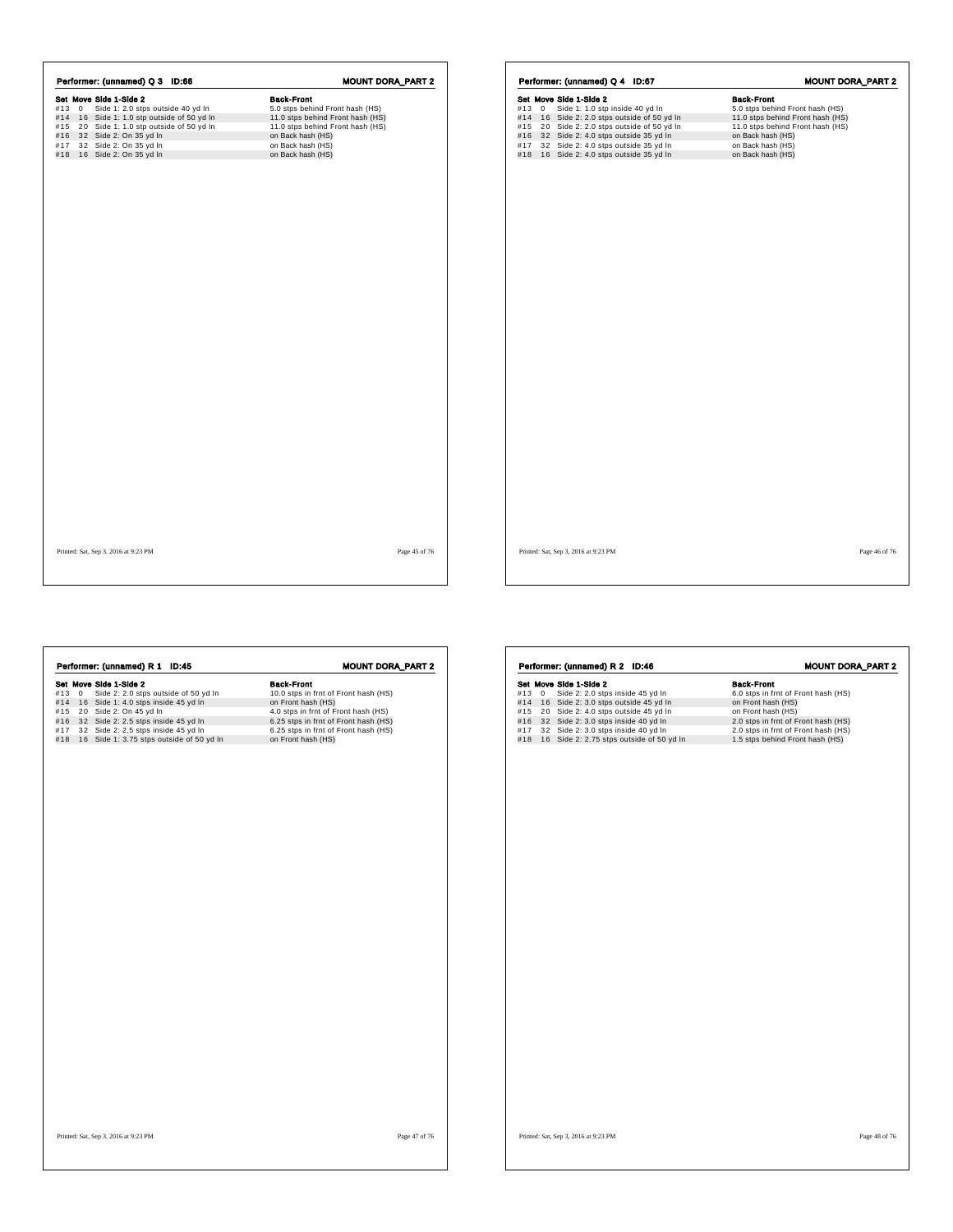| Performer: (unnamed) Q 3 ID:66    | <b>MOUNT DORA_PART 2</b>                                                                                                                                                                                     |
|-----------------------------------|--------------------------------------------------------------------------------------------------------------------------------------------------------------------------------------------------------------|
|                                   | <b>Back-Front</b>                                                                                                                                                                                            |
| Side 1: 2.0 stps outside 40 yd In | 5.0 stps behind Front hash (HS)                                                                                                                                                                              |
|                                   | 11.0 stps behind Front hash (HS)                                                                                                                                                                             |
|                                   | 11.0 stps behind Front hash (HS)                                                                                                                                                                             |
|                                   | on Back hash (HS)                                                                                                                                                                                            |
|                                   | on Back hash (HS)                                                                                                                                                                                            |
|                                   | on Back hash (HS)                                                                                                                                                                                            |
|                                   |                                                                                                                                                                                                              |
|                                   | Set Move Side 1-Side 2<br>#14 16 Side 1: 1.0 stp outside of 50 yd In<br>#15 20 Side 1: 1.0 stp outside of 50 yd In<br>#16 32 Side 2: On 35 yd In<br>#17 32 Side 2: On 35 yd In<br>#18 16 Side 2: On 35 yd In |

|            |                | Performer: (unnamed) Q 4 ID:67                                               | <b>MOUNT DORA_PART 2</b>               |
|------------|----------------|------------------------------------------------------------------------------|----------------------------------------|
|            |                | Set Move Side 1-Side 2                                                       | <b>Back-Front</b>                      |
| #13        | $\overline{0}$ | Side 1: 1.0 stp inside 40 yd In                                              | 5.0 stps behind Front hash (HS)        |
| #14        |                | 16 Side 2: 2.0 stps outside of 50 yd In                                      | 11.0 stps behind Front hash (HS)       |
| #15        |                | 20 Side 2: 2.0 stps outside of 50 yd In                                      | 11.0 stps behind Front hash (HS)       |
| #16        |                | 32 Side 2: 4.0 stps outside 35 yd In                                         | on Back hash (HS)                      |
| #17<br>#18 |                | 32 Side 2: 4.0 stps outside 35 yd In<br>16 Side 2: 4.0 stps outside 35 yd In | on Back hash (HS)<br>on Back hash (HS) |
|            |                |                                                                              |                                        |
|            |                |                                                                              |                                        |
|            |                |                                                                              |                                        |
|            |                |                                                                              |                                        |
|            |                |                                                                              |                                        |
|            |                |                                                                              |                                        |
|            |                |                                                                              |                                        |
|            |                |                                                                              |                                        |
|            |                |                                                                              |                                        |
|            |                |                                                                              |                                        |
|            |                |                                                                              |                                        |
|            |                |                                                                              |                                        |
|            |                |                                                                              |                                        |

Printed: Sat, Sep 3, 2016 at 9:23 PM Page 45 of 76

Printed: Sat, Sep 3, 2016 at 9:23 PM Page 46 of 76

| Performer: (unnamed) R 1 ID:45                                                                                                                                                                                                                                                         | <b>MOUNT DORA_PART 2</b>                                                                                                                                                                                                     | Performer: (unnamed) R 2 ID:46                                                                                                                                                                                                                                                                 | <b>MOUNT DORA_PART 2</b>                                                                                                                                                                                              |
|----------------------------------------------------------------------------------------------------------------------------------------------------------------------------------------------------------------------------------------------------------------------------------------|------------------------------------------------------------------------------------------------------------------------------------------------------------------------------------------------------------------------------|------------------------------------------------------------------------------------------------------------------------------------------------------------------------------------------------------------------------------------------------------------------------------------------------|-----------------------------------------------------------------------------------------------------------------------------------------------------------------------------------------------------------------------|
| Set Move Side 1-Side 2<br>Side 2: 2.0 stps outside of 50 yd In<br>#13 0<br>#14 16 Side 1: 4.0 stps inside 45 yd In<br>#15 20 Side 2: On 45 yd In<br>#16 32 Side 2: 2.5 stps inside 45 yd In<br>#17 32 Side 2: 2.5 stps inside 45 yd In<br>#18 16 Side 1: 3.75 stps outside of 50 yd In | <b>Back-Front</b><br>10.0 stps in frnt of Front hash (HS)<br>on Front hash (HS)<br>4.0 stps in frnt of Front hash (HS)<br>6.25 stps in frnt of Front hash (HS)<br>6.25 stps in frnt of Front hash (HS)<br>on Front hash (HS) | Set Move Side 1-Side 2<br>#13 0 Side 2: 2.0 stps inside 45 yd In<br>#14 16 Side 2: 3.0 stps outside 45 yd In<br>#15 20 Side 2: 4.0 stps outside 45 yd In<br>#16 32 Side 2: 3.0 stps inside 40 yd In<br>#17 32 Side 2: 3.0 stps inside 40 yd In<br>#18 16 Side 2: 2.75 stps outside of 50 yd In | <b>Back-Front</b><br>6.0 stps in frnt of Front hash (HS)<br>on Front hash (HS)<br>on Front hash (HS)<br>2.0 stps in frnt of Front hash (HS)<br>2.0 stps in frnt of Front hash (HS)<br>1.5 stps behind Front hash (HS) |
|                                                                                                                                                                                                                                                                                        |                                                                                                                                                                                                                              |                                                                                                                                                                                                                                                                                                |                                                                                                                                                                                                                       |
| Printed: Sat, Sep 3, 2016 at 9:23 PM                                                                                                                                                                                                                                                   | Page 47 of 76                                                                                                                                                                                                                | Printed: Sat, Sep 3, 2016 at 9:23 PM                                                                                                                                                                                                                                                           | Page 48 of 76                                                                                                                                                                                                         |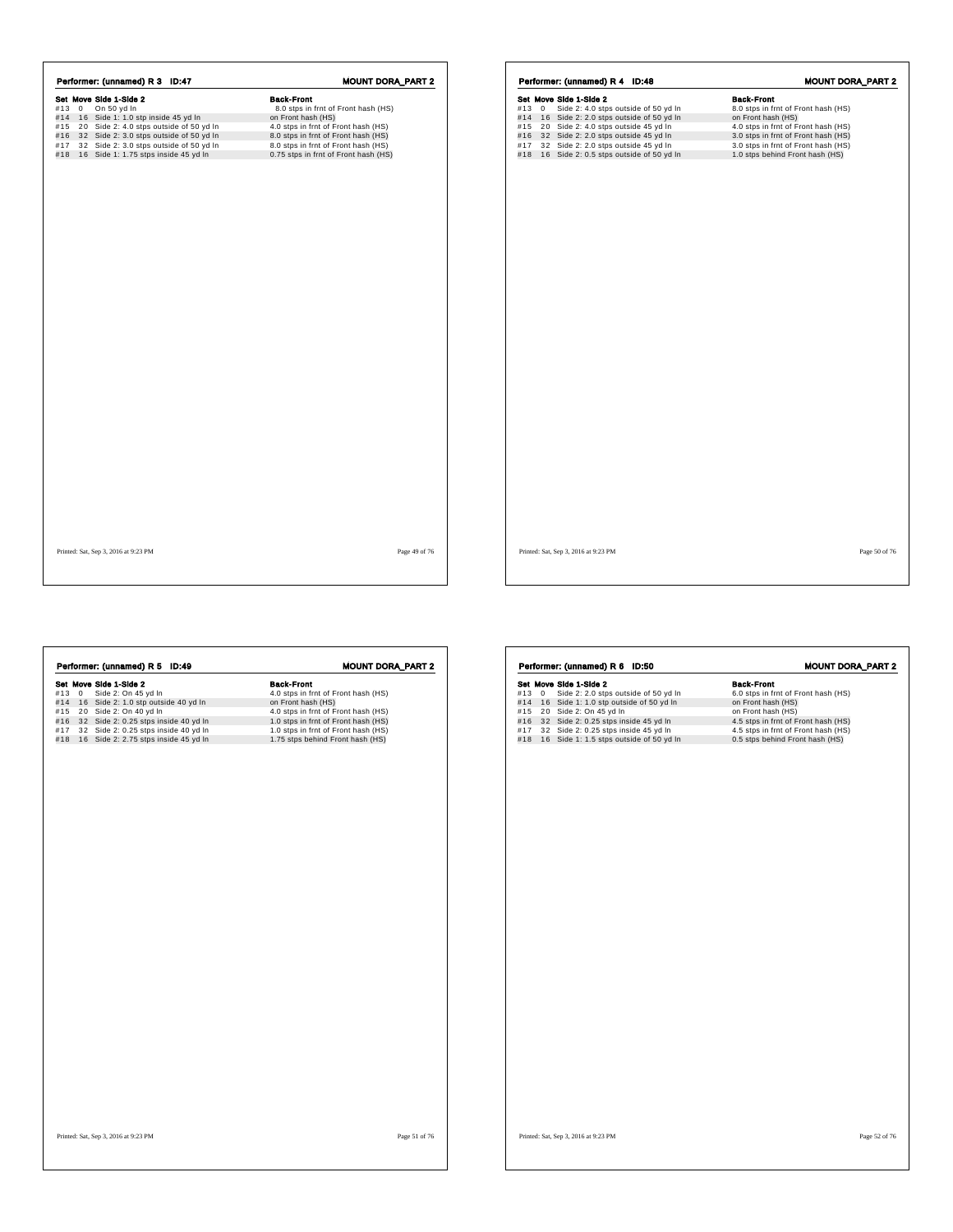|           | Set Move Side 1-Side 2                  | <b>Back-Front</b>                    |
|-----------|-----------------------------------------|--------------------------------------|
|           |                                         |                                      |
| $#13 \ 0$ | On 50 yd In                             | 8.0 stps in frnt of Front hash (HS)  |
| #14       | 16 Side 1: 1.0 stp inside 45 yd In      | on Front hash (HS)                   |
| #15       | 20 Side 2: 4.0 stps outside of 50 yd In | 4.0 stps in frnt of Front hash (HS)  |
| #16       | 32 Side 2: 3.0 stps outside of 50 yd In | 8.0 stps in frnt of Front hash (HS)  |
| #17       | 32 Side 2: 3.0 stps outside of 50 yd In | 8.0 stps in frnt of Front hash (HS)  |
| #18       | 16 Side 1: 1.75 stps inside 45 yd In    | 0.75 stps in frnt of Front hash (HS) |

|     | Performer: (unnamed) R 4 ID:48 |                        |                                                                                     |  |                                                                        | <b>MOUNT DORA_PART 2</b> |  |
|-----|--------------------------------|------------------------|-------------------------------------------------------------------------------------|--|------------------------------------------------------------------------|--------------------------|--|
|     |                                | Set Move Side 1-Side 2 |                                                                                     |  | <b>Back-Front</b>                                                      |                          |  |
| #13 | $\mathbf{0}$                   |                        | Side 2: 4.0 stps outside of 50 yd In                                                |  | 8.0 stps in frnt of Front hash (HS)                                    |                          |  |
|     |                                |                        | #14 16 Side 2: 2.0 stps outside of 50 yd In                                         |  | on Front hash (HS)                                                     |                          |  |
| #15 |                                |                        | 20 Side 2: 4.0 stps outside 45 yd In                                                |  | 4.0 stps in frnt of Front hash (HS)                                    |                          |  |
| #16 |                                |                        | 32 Side 2: 2.0 stps outside 45 yd In                                                |  | 3.0 stps in frnt of Front hash (HS)                                    |                          |  |
| #17 |                                |                        | 32 Side 2: 2.0 stps outside 45 yd In<br>#18 16 Side 2: 0.5 stps outside of 50 yd In |  | 3.0 stps in frnt of Front hash (HS)<br>1.0 stps behind Front hash (HS) |                          |  |
|     |                                |                        |                                                                                     |  |                                                                        |                          |  |
|     |                                |                        |                                                                                     |  |                                                                        |                          |  |
|     |                                |                        |                                                                                     |  |                                                                        |                          |  |
|     |                                |                        |                                                                                     |  |                                                                        |                          |  |
|     |                                |                        |                                                                                     |  |                                                                        |                          |  |
|     |                                |                        |                                                                                     |  |                                                                        |                          |  |
|     |                                |                        |                                                                                     |  |                                                                        |                          |  |
|     |                                |                        |                                                                                     |  |                                                                        |                          |  |
|     |                                |                        |                                                                                     |  |                                                                        |                          |  |
|     |                                |                        |                                                                                     |  |                                                                        |                          |  |
|     |                                |                        |                                                                                     |  |                                                                        |                          |  |
|     |                                |                        |                                                                                     |  |                                                                        |                          |  |
|     |                                |                        |                                                                                     |  |                                                                        |                          |  |
|     |                                |                        |                                                                                     |  |                                                                        |                          |  |
|     |                                |                        |                                                                                     |  |                                                                        |                          |  |
|     |                                |                        |                                                                                     |  |                                                                        |                          |  |
|     |                                |                        |                                                                                     |  |                                                                        |                          |  |
|     |                                |                        |                                                                                     |  |                                                                        |                          |  |
|     |                                |                        |                                                                                     |  |                                                                        |                          |  |
|     |                                |                        |                                                                                     |  |                                                                        |                          |  |
|     |                                |                        |                                                                                     |  |                                                                        |                          |  |
|     |                                |                        |                                                                                     |  |                                                                        |                          |  |
|     |                                |                        |                                                                                     |  |                                                                        |                          |  |
|     |                                |                        |                                                                                     |  |                                                                        |                          |  |
|     |                                |                        |                                                                                     |  |                                                                        |                          |  |
|     |                                |                        |                                                                                     |  |                                                                        |                          |  |
|     |                                |                        |                                                                                     |  |                                                                        |                          |  |
|     |                                |                        |                                                                                     |  |                                                                        |                          |  |
|     |                                |                        |                                                                                     |  |                                                                        |                          |  |

Printed: Sat, Sep 3, 2016 at 9:23 PM Page 49 of 76

Set Move Side 1-Side 2<br>
#13 0 Side 2: 1.0 stp outside 40 yd In 4.0 stps in frnt of Front hash (HS)<br>
#14 16 Side 2: 1.0 stp outside 40 yd In 4.0 stps in frnt of Front hash (HS)<br>
#15 20 Side 2: 0.25 stps inside 40 yd In 4.0 **Performer: (unnamed) R 5 ID:49** MOUNT DORA\_PART 2<br> **Set Move Side 2:** On 45 yd In 4.0 stps in frnt of Front hash (HS)<br>
#13 0 Side 2: 0.0 45 yd In 4.0 stps in frnt of Front hash (HS)<br>
#15 20 Side 2: 0.0 40 yd In 4.0 stps i Printed: Sat, Sep 3, 2016 at 9:23 PM Page 51 of 76 Set Move Side 1-Side 2 2.0 stps outside of 50 yd In Back-Front<br>
#13 0 Side 2: 2.0 stps outside of 50 yd In 6.0 stps in frnt of Front hash (HS)<br>
#14 16 Side 2: On 45 yd In 6.0 stps in Side 2: 0.25 stps inside 45 yd In 6.1 S Performer: (unnamed) R 6 ID:50 MOUNT DORA\_PART 2 Printed: Sat, Sep 3, 2016 at 9:23 PM Page 52 of 76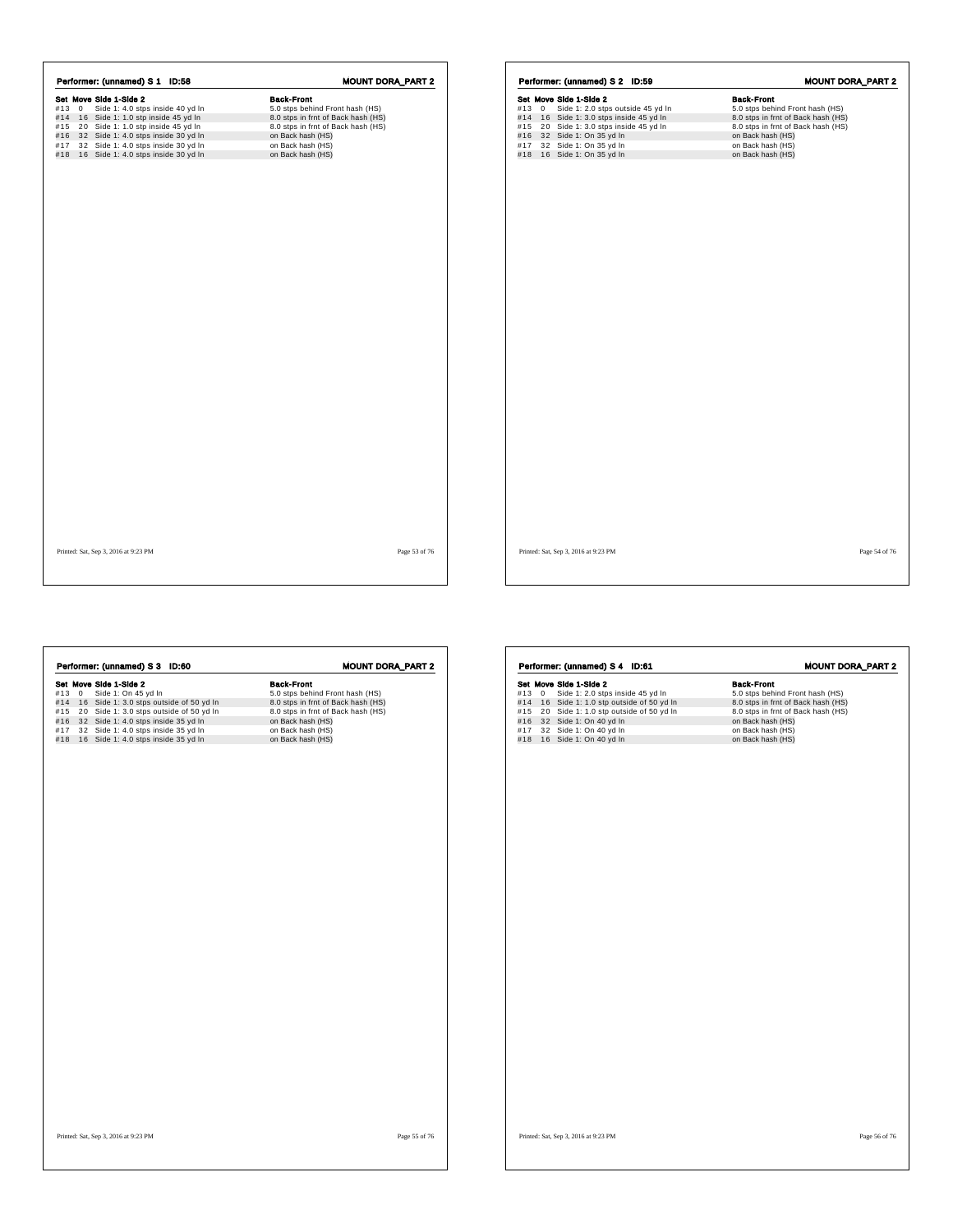|     |         | Performer: (unnamed) S 1 ID:58      | <b>MOUNT DORA_PART 2</b>           |
|-----|---------|-------------------------------------|------------------------------------|
|     |         | Set Move Side 1-Side 2              | <b>Back-Front</b>                  |
| #13 | $\circ$ | Side 1: 4.0 stps inside 40 yd In    | 5.0 stps behind Front hash (HS)    |
| #14 |         | 16 Side 1: 1.0 stp inside 45 yd In  | 8.0 stps in frnt of Back hash (HS) |
| #15 |         | 20 Side 1: 1.0 stp inside 45 yd In  | 8.0 stps in frnt of Back hash (HS) |
| #16 |         | 32 Side 1: 4.0 stps inside 30 yd In | on Back hash (HS)                  |
| #17 |         | 32 Side 1: 4.0 stps inside 30 yd In | on Back hash (HS)                  |
| #18 |         | 16 Side 1: 4.0 stps inside 30 yd In | on Back hash (HS)                  |
|     |         |                                     |                                    |
|     |         |                                     |                                    |
|     |         |                                     |                                    |
|     |         |                                     |                                    |
|     |         |                                     |                                    |

|     |      | Set Move Side 1-Side 2                                            | <b>Back-Front</b>                                       |
|-----|------|-------------------------------------------------------------------|---------------------------------------------------------|
|     | #130 | Side 1: 2.0 stps outside 45 yd In                                 | 5.0 stps behind Front hash (HS)                         |
|     |      | #14 16 Side 1: 3.0 stps inside 45 yd In                           | 8.0 stps in frnt of Back hash (HS)                      |
| #15 |      | 20 Side 1: 3.0 stps inside 45 yd In<br>#16 32 Side 1: On 35 yd In | 8.0 stps in frnt of Back hash (HS)<br>on Back hash (HS) |
| #17 |      | 32 Side 1: On 35 yd In                                            | on Back hash (HS)                                       |
|     |      | #18 16 Side 1: On 35 yd In                                        | on Back hash (HS)                                       |
|     |      |                                                                   |                                                         |
|     |      |                                                                   |                                                         |
|     |      |                                                                   |                                                         |
|     |      |                                                                   |                                                         |
|     |      |                                                                   |                                                         |
|     |      |                                                                   |                                                         |
|     |      |                                                                   |                                                         |
|     |      |                                                                   |                                                         |
|     |      |                                                                   |                                                         |
|     |      |                                                                   |                                                         |
|     |      |                                                                   |                                                         |
|     |      |                                                                   |                                                         |
|     |      |                                                                   |                                                         |
|     |      |                                                                   |                                                         |
|     |      |                                                                   |                                                         |
|     |      |                                                                   |                                                         |
|     |      |                                                                   |                                                         |
|     |      |                                                                   |                                                         |
|     |      |                                                                   |                                                         |
|     |      |                                                                   |                                                         |
|     |      |                                                                   |                                                         |
|     |      |                                                                   |                                                         |
|     |      |                                                                   |                                                         |
|     |      |                                                                   |                                                         |
|     |      |                                                                   |                                                         |
|     |      |                                                                   |                                                         |
|     |      |                                                                   |                                                         |
|     |      |                                                                   |                                                         |

Printed: Sat, Sep 3, 2016 at 9:23 PM Page 53 of 76

|     |       | Performer: (unnamed) S 4 ID:61         | <b>MOUNT DORA_PART 2</b>           |
|-----|-------|----------------------------------------|------------------------------------|
|     |       | Set Move Side 1-Side 2                 | <b>Back-Front</b>                  |
|     | #13 0 | Side 1: 2.0 stps inside 45 yd In       | 5.0 stps behind Front hash (HS)    |
| #14 |       | 16 Side 1: 1.0 stp outside of 50 yd In | 8.0 stps in frnt of Back hash (HS) |
| #15 |       | 20 Side 1: 1.0 stp outside of 50 yd In | 8.0 stps in frnt of Back hash (HS) |
| #16 |       | 32 Side 1: On 40 yd In                 | on Back hash (HS)                  |
| #17 |       | 32 Side 1: On 40 yd In                 | on Back hash (HS)                  |
| #18 |       | 16 Side 1: On 40 yd In                 | on Back hash (HS)                  |
|     |       |                                        |                                    |
|     |       |                                        |                                    |
|     |       |                                        |                                    |
|     |       |                                        |                                    |
|     |       |                                        |                                    |
|     |       |                                        |                                    |
|     |       |                                        |                                    |
|     |       |                                        |                                    |
|     |       |                                        |                                    |
|     |       |                                        |                                    |
|     |       |                                        |                                    |
|     |       |                                        |                                    |
|     |       |                                        |                                    |
|     |       |                                        |                                    |
|     |       |                                        |                                    |
|     |       |                                        |                                    |
|     |       |                                        |                                    |
|     |       |                                        |                                    |
|     |       |                                        |                                    |
|     |       |                                        |                                    |
|     |       |                                        |                                    |
|     |       |                                        |                                    |
|     |       |                                        |                                    |
|     |       |                                        |                                    |
|     |       |                                        |                                    |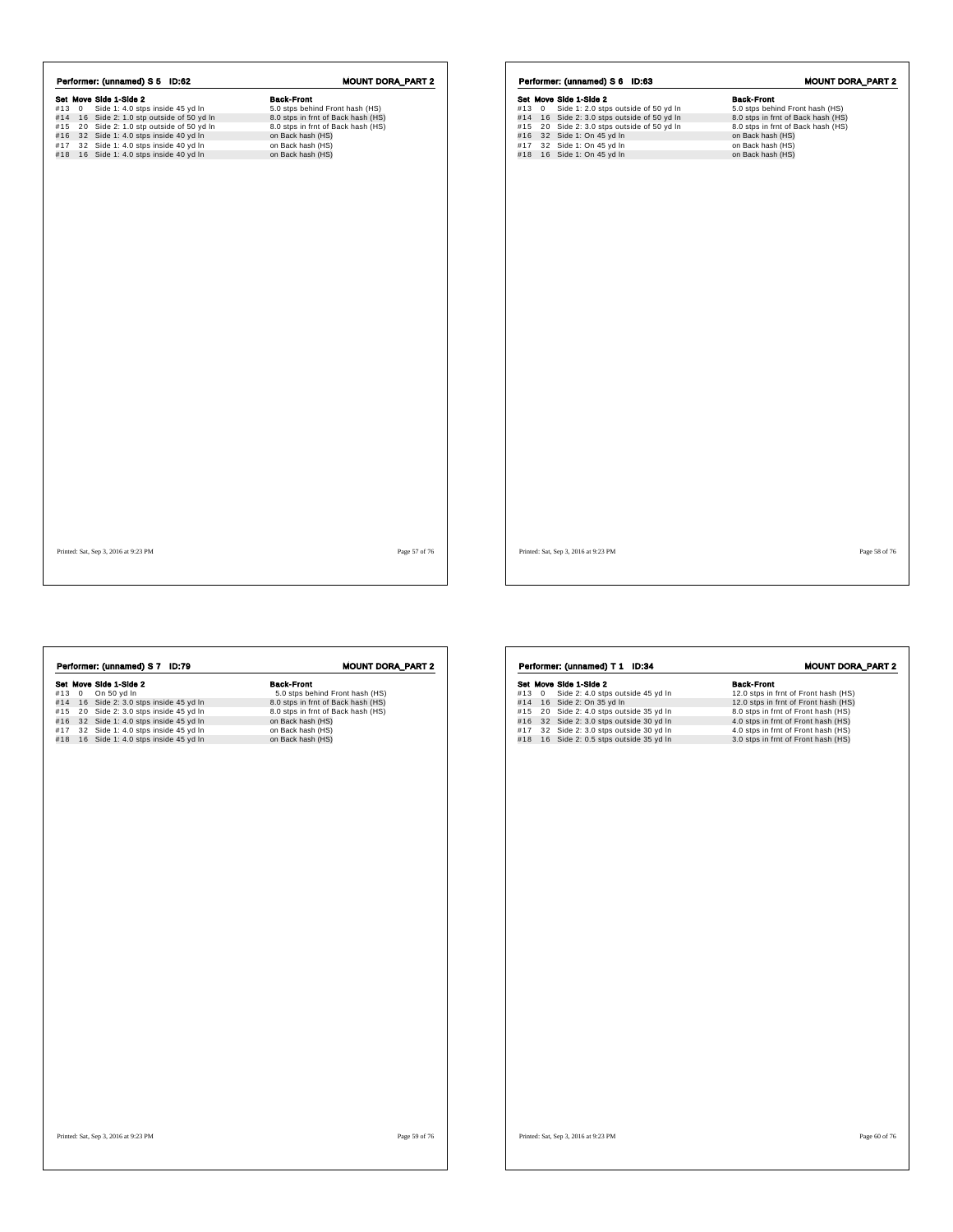|     |              | Performer: (unnamed) S 5 ID:62         | <b>MOUNT DORA_PART 2</b>           |
|-----|--------------|----------------------------------------|------------------------------------|
|     |              | Set Move Side 1-Side 2                 | <b>Back-Front</b>                  |
| #13 | $\mathbf{0}$ | Side 1: 4.0 stps inside 45 yd In       | 5.0 stps behind Front hash (HS)    |
| #14 |              | 16 Side 2: 1.0 stp outside of 50 yd In | 8.0 stps in frnt of Back hash (HS) |
| #15 |              | 20 Side 2: 1.0 stp outside of 50 yd In | 8.0 stps in frnt of Back hash (HS) |
| #16 |              | 32 Side 1: 4.0 stps inside 40 yd In    | on Back hash (HS)                  |
| #17 |              | 32 Side 1: 4.0 stps inside 40 yd In    | on Back hash (HS)                  |
| #18 |              | 16 Side 1: 4.0 stps inside 40 yd In    | on Back hash (HS)                  |
|     |              |                                        |                                    |
|     |              |                                        |                                    |
|     |              |                                        |                                    |
|     |              |                                        |                                    |

|            |   | Set Move Side 1-Side 2                           | <b>Back-Front</b>                      |
|------------|---|--------------------------------------------------|----------------------------------------|
| #13        | 0 | Side 1: 2.0 stps outside of 50 yd In             | 5.0 stps behind Front hash (HS)        |
| #14        |   | 16 Side 2: 3.0 stps outside of 50 yd In          | 8.0 stps in frnt of Back hash (HS)     |
| #15        |   | 20 Side 2: 3.0 stps outside of 50 yd In          | 8.0 stps in frnt of Back hash (HS)     |
| #16        |   | 32 Side 1: On 45 yd In                           | on Back hash (HS)                      |
| #17<br>#18 |   | 32 Side 1: On 45 yd In<br>16 Side 1: On 45 yd In | on Back hash (HS)<br>on Back hash (HS) |
|            |   |                                                  |                                        |
|            |   |                                                  |                                        |
|            |   |                                                  |                                        |
|            |   |                                                  |                                        |
|            |   |                                                  |                                        |
|            |   |                                                  |                                        |
|            |   |                                                  |                                        |
|            |   |                                                  |                                        |
|            |   |                                                  |                                        |
|            |   |                                                  |                                        |
|            |   |                                                  |                                        |
|            |   |                                                  |                                        |
|            |   |                                                  |                                        |
|            |   |                                                  |                                        |
|            |   |                                                  |                                        |
|            |   |                                                  |                                        |
|            |   |                                                  |                                        |
|            |   |                                                  |                                        |
|            |   |                                                  |                                        |
|            |   |                                                  |                                        |
|            |   |                                                  |                                        |
|            |   |                                                  |                                        |
|            |   |                                                  |                                        |
|            |   |                                                  |                                        |
|            |   |                                                  |                                        |
|            |   |                                                  |                                        |
|            |   |                                                  |                                        |
|            |   |                                                  |                                        |
|            |   |                                                  |                                        |

Printed: Sat, Sep 3, 2016 at 9:23 PM Page 57 of 76

 $\mathsf{r}$ 

| Performer: (unnamed) S 7 ID:79          | <b>MOUNT DORA_PART 2</b>           |
|-----------------------------------------|------------------------------------|
| Set Move Side 1-Side 2                  | <b>Back-Front</b>                  |
| #13 0<br>On 50 yd In                    | 5.0 stps behind Front hash (HS)    |
| #14 16 Side 2: 3.0 stps inside 45 yd In | 8.0 stps in frnt of Back hash (HS) |
| #15 20 Side 2: 3.0 stps inside 45 yd In | 8.0 stps in frnt of Back hash (HS) |
| #16 32 Side 1: 4.0 stps inside 45 yd In | on Back hash (HS)                  |
| #17 32 Side 1: 4.0 stps inside 45 yd In | on Back hash (HS)                  |
| #18 16 Side 1: 4.0 stps inside 45 yd In | on Back hash (HS)                  |
|                                         |                                    |
|                                         |                                    |

| Set Move Side 1-Side 2<br><b>Back-Front</b><br>12.0 stps in frnt of Front hash (HS)<br>#13<br>Side 2: 4.0 stps outside 45 yd In<br>0<br>#14<br>16 Side 2: On 35 yd In<br>12.0 stps in frnt of Front hash (HS)<br>Side 2: 4.0 stps outside 35 yd In<br>8.0 stps in frnt of Front hash (HS)<br>#15<br>20<br>32 Side 2: 3.0 stps outside 30 yd In<br>4.0 stps in frnt of Front hash (HS)<br>#16<br>32 Side 2: 3.0 stps outside 30 yd In<br>4.0 stps in frnt of Front hash (HS)<br>#17<br>16 Side 2: 0.5 stps outside 35 yd In<br>3.0 stps in frnt of Front hash (HS)<br>#18 | <b>MOUNT DORA_PART 2</b> |
|--------------------------------------------------------------------------------------------------------------------------------------------------------------------------------------------------------------------------------------------------------------------------------------------------------------------------------------------------------------------------------------------------------------------------------------------------------------------------------------------------------------------------------------------------------------------------|--------------------------|
|                                                                                                                                                                                                                                                                                                                                                                                                                                                                                                                                                                          |                          |
|                                                                                                                                                                                                                                                                                                                                                                                                                                                                                                                                                                          |                          |
|                                                                                                                                                                                                                                                                                                                                                                                                                                                                                                                                                                          |                          |
|                                                                                                                                                                                                                                                                                                                                                                                                                                                                                                                                                                          |                          |
|                                                                                                                                                                                                                                                                                                                                                                                                                                                                                                                                                                          |                          |
|                                                                                                                                                                                                                                                                                                                                                                                                                                                                                                                                                                          |                          |
|                                                                                                                                                                                                                                                                                                                                                                                                                                                                                                                                                                          |                          |
|                                                                                                                                                                                                                                                                                                                                                                                                                                                                                                                                                                          |                          |
|                                                                                                                                                                                                                                                                                                                                                                                                                                                                                                                                                                          |                          |
|                                                                                                                                                                                                                                                                                                                                                                                                                                                                                                                                                                          |                          |
|                                                                                                                                                                                                                                                                                                                                                                                                                                                                                                                                                                          |                          |
|                                                                                                                                                                                                                                                                                                                                                                                                                                                                                                                                                                          |                          |
|                                                                                                                                                                                                                                                                                                                                                                                                                                                                                                                                                                          |                          |
|                                                                                                                                                                                                                                                                                                                                                                                                                                                                                                                                                                          |                          |
|                                                                                                                                                                                                                                                                                                                                                                                                                                                                                                                                                                          |                          |
|                                                                                                                                                                                                                                                                                                                                                                                                                                                                                                                                                                          |                          |
|                                                                                                                                                                                                                                                                                                                                                                                                                                                                                                                                                                          |                          |
|                                                                                                                                                                                                                                                                                                                                                                                                                                                                                                                                                                          |                          |
|                                                                                                                                                                                                                                                                                                                                                                                                                                                                                                                                                                          |                          |
|                                                                                                                                                                                                                                                                                                                                                                                                                                                                                                                                                                          |                          |
|                                                                                                                                                                                                                                                                                                                                                                                                                                                                                                                                                                          |                          |
|                                                                                                                                                                                                                                                                                                                                                                                                                                                                                                                                                                          |                          |
|                                                                                                                                                                                                                                                                                                                                                                                                                                                                                                                                                                          |                          |
|                                                                                                                                                                                                                                                                                                                                                                                                                                                                                                                                                                          |                          |
|                                                                                                                                                                                                                                                                                                                                                                                                                                                                                                                                                                          |                          |
|                                                                                                                                                                                                                                                                                                                                                                                                                                                                                                                                                                          |                          |
|                                                                                                                                                                                                                                                                                                                                                                                                                                                                                                                                                                          |                          |
|                                                                                                                                                                                                                                                                                                                                                                                                                                                                                                                                                                          |                          |
|                                                                                                                                                                                                                                                                                                                                                                                                                                                                                                                                                                          |                          |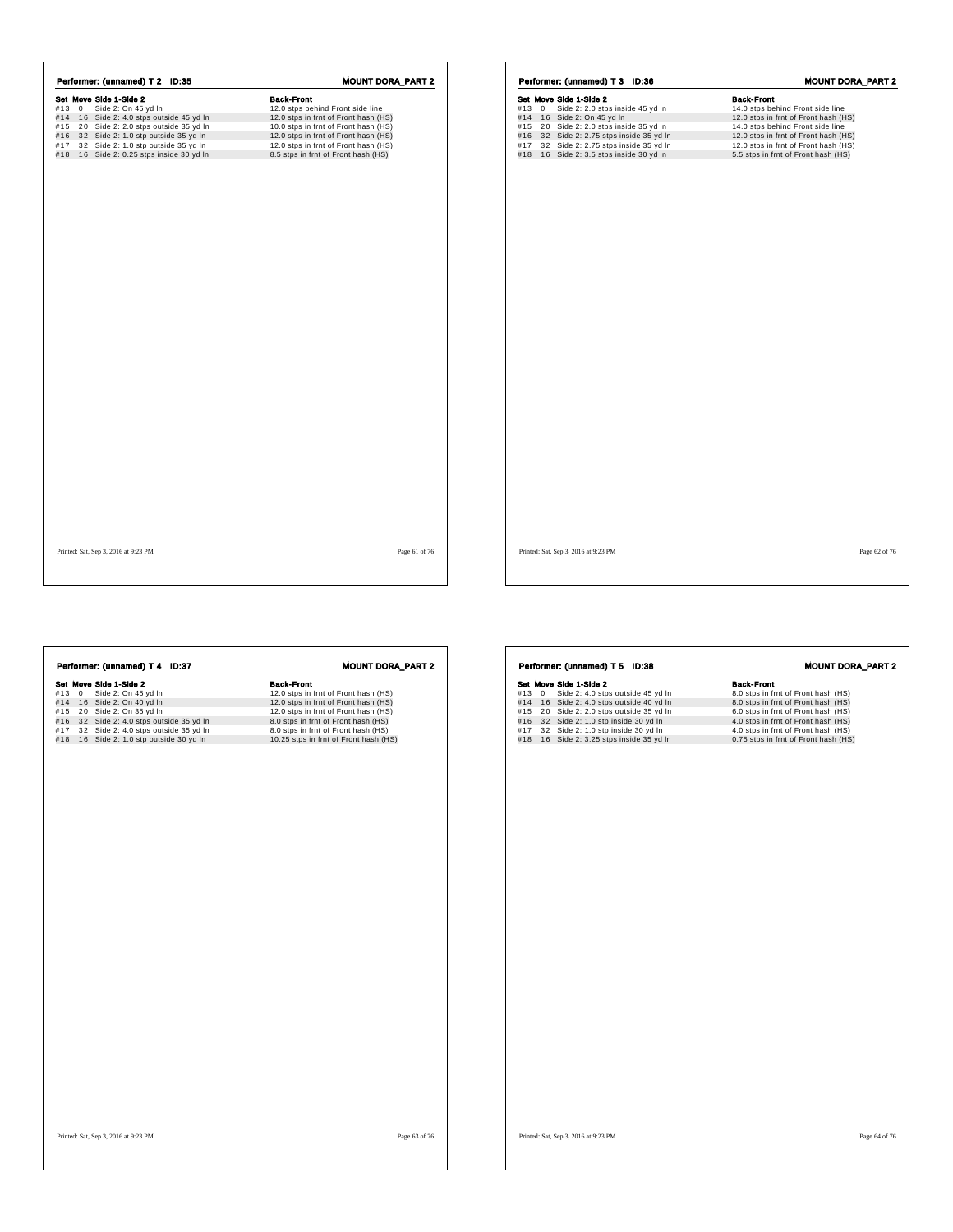| $#13 \ 0$<br>#14 | Side 2: On 45 yd In<br>16 Side 2: 4.0 stps outside 45 yd In | 12.0 stps behind Front side line     |
|------------------|-------------------------------------------------------------|--------------------------------------|
|                  |                                                             |                                      |
|                  |                                                             | 12.0 stps in frnt of Front hash (HS) |
| #15              | 20 Side 2: 2.0 stps outside 35 yd In                        | 10.0 stps in frnt of Front hash (HS) |
| #16              | 32 Side 2: 1.0 stp outside 35 yd In                         | 12.0 stps in frnt of Front hash (HS) |
| #17              | 32 Side 2: 1.0 stp outside 35 yd In                         | 12.0 stps in frnt of Front hash (HS) |
| #18              | 16 Side 2: 0.25 stps inside 30 yd In                        | 8.5 stps in frnt of Front hash (HS)  |
|                  |                                                             |                                      |
|                  |                                                             |                                      |
|                  |                                                             |                                      |

| Set Move Side 1-Side 2<br>#13<br>Side 2: 2.0 stps inside 45 yd In<br>14.0 stps behind Front side line<br>$\mathbf{0}$<br>#14 16 Side 2: On 45 yd In<br>12.0 stps in frnt of Front hash (HS)<br>#15 20 Side 2: 2.0 stps inside 35 yd In<br>14.0 stps behind Front side line<br>#16 32 Side 2: 2.75 stps inside 35 yd In<br>12.0 stps in frnt of Front hash (HS)<br>#17<br>32 Side 2: 2.75 stps inside 35 yd In<br>12.0 stps in frnt of Front hash (HS)<br>5.5 stps in frnt of Front hash (HS)<br>#18 16 Side 2: 3.5 stps inside 30 yd In |  | <b>Back-Front</b> |
|-----------------------------------------------------------------------------------------------------------------------------------------------------------------------------------------------------------------------------------------------------------------------------------------------------------------------------------------------------------------------------------------------------------------------------------------------------------------------------------------------------------------------------------------|--|-------------------|
|                                                                                                                                                                                                                                                                                                                                                                                                                                                                                                                                         |  |                   |
|                                                                                                                                                                                                                                                                                                                                                                                                                                                                                                                                         |  |                   |
|                                                                                                                                                                                                                                                                                                                                                                                                                                                                                                                                         |  |                   |
|                                                                                                                                                                                                                                                                                                                                                                                                                                                                                                                                         |  |                   |
|                                                                                                                                                                                                                                                                                                                                                                                                                                                                                                                                         |  |                   |
|                                                                                                                                                                                                                                                                                                                                                                                                                                                                                                                                         |  |                   |
|                                                                                                                                                                                                                                                                                                                                                                                                                                                                                                                                         |  |                   |
|                                                                                                                                                                                                                                                                                                                                                                                                                                                                                                                                         |  |                   |
|                                                                                                                                                                                                                                                                                                                                                                                                                                                                                                                                         |  |                   |
|                                                                                                                                                                                                                                                                                                                                                                                                                                                                                                                                         |  |                   |

Printed: Sat, Sep 3, 2016 at 9:23 PM Page 61 of 76

| Performer: (unnamed) T 4 ID:37              | <b>MOUNT DORA_PART 2</b>              |
|---------------------------------------------|---------------------------------------|
| Set Move Side 1-Side 2                      | <b>Back-Front</b>                     |
| #13 0<br>Side 2: On 45 yd In                | 12.0 stps in frnt of Front hash (HS)  |
| #14 16 Side 2: On 40 yd In                  | 12.0 stps in frnt of Front hash (HS)  |
| #15 20 Side 2: On 35 yd In                  | 12.0 stps in frnt of Front hash (HS)  |
| #16 32 Side 2: 4.0 stps outside 35 yd In    | 8.0 stps in frnt of Front hash (HS)   |
| 32 Side 2: 4.0 stps outside 35 yd In<br>#17 | 8.0 stps in frnt of Front hash (HS)   |
| #18 16 Side 2: 1.0 stp outside 30 yd In     | 10.25 stps in frnt of Front hash (HS) |
|                                             |                                       |
|                                             |                                       |
| Printed: Sat, Sep 3, 2016 at 9:23 PM        | Page 63 of 76                         |

|     |            | Performer: (unnamed) T 5<br><b>ID:38</b> | <b>MOUNT DORA_PART 2</b>             |
|-----|------------|------------------------------------------|--------------------------------------|
|     |            | Set Move Side 1-Side 2                   | <b>Back-Front</b>                    |
| #13 | $^{\circ}$ | Side 2: 4.0 stps outside 45 yd In        | 8.0 stps in frnt of Front hash (HS)  |
| #14 |            | 16 Side 2: 4.0 stps outside 40 yd In     | 8.0 stps in frnt of Front hash (HS)  |
| #15 |            | 20 Side 2: 2.0 stps outside 35 yd In     | 6.0 stps in frnt of Front hash (HS)  |
| #16 |            | 32 Side 2: 1.0 stp inside 30 yd In       | 4.0 stps in frnt of Front hash (HS)  |
| #17 |            | 32 Side 2: 1.0 stp inside 30 yd In       | 4.0 stps in frnt of Front hash (HS)  |
| #18 |            | 16 Side 2: 3.25 stps inside 35 yd In     | 0.75 stps in frnt of Front hash (HS) |
|     |            |                                          |                                      |
|     |            |                                          |                                      |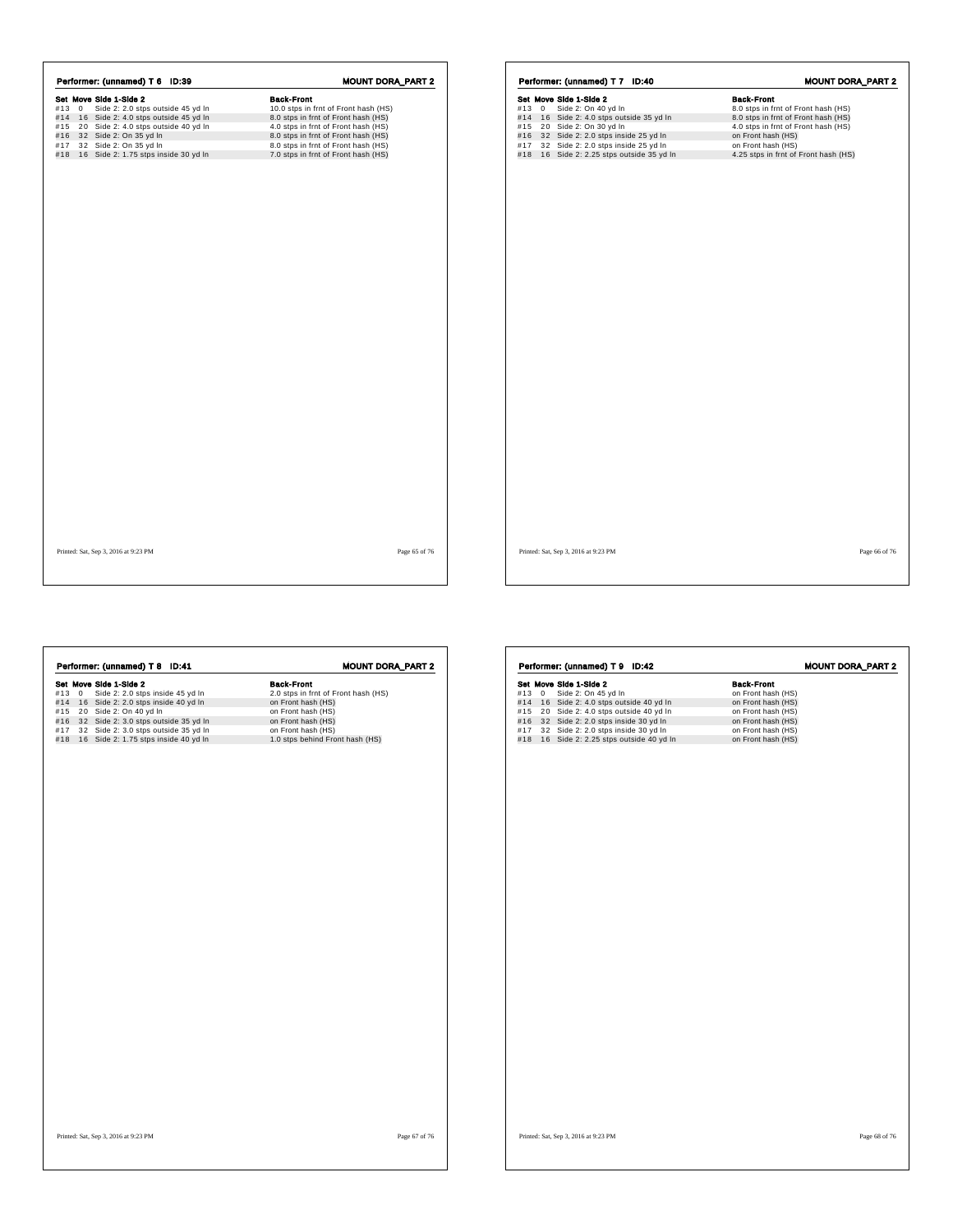| #13<br>$\mathbf{0}$ | Set Move Side 1-Side 2               | <b>Back-Front</b>                    |
|---------------------|--------------------------------------|--------------------------------------|
|                     |                                      |                                      |
|                     | Side 2: 2.0 stps outside 45 yd In    | 10.0 stps in frnt of Front hash (HS) |
| #14                 | 16 Side 2: 4.0 stps outside 45 yd In | 8.0 stps in frnt of Front hash (HS)  |
| #15                 | 20 Side 2: 4.0 stps outside 40 yd In | 4.0 stps in frnt of Front hash (HS)  |
| #16                 | 32 Side 2: On 35 yd In               | 8.0 stps in frnt of Front hash (HS)  |
| #17                 | 32 Side 2: On 35 yd In               | 8.0 stps in frnt of Front hash (HS)  |
| #18                 | 16 Side 2: 1.75 stps inside 30 yd In | 7.0 stps in frnt of Front hash (HS)  |

|       | Performer: (unnamed) T 7 ID:40 |                                      |                                                                                      |  |  |                                                            |  |  | <b>MOUNT DORA_PART 2</b> |
|-------|--------------------------------|--------------------------------------|--------------------------------------------------------------------------------------|--|--|------------------------------------------------------------|--|--|--------------------------|
|       |                                | Set Move Side 1-Side 2               |                                                                                      |  |  | <b>Back-Front</b>                                          |  |  |                          |
| #13 0 |                                |                                      | Side 2: On 40 yd In                                                                  |  |  | 8.0 stps in frnt of Front hash (HS)                        |  |  |                          |
|       |                                |                                      | #14 16 Side 2: 4.0 stps outside 35 yd In                                             |  |  | 8.0 stps in frnt of Front hash (HS)                        |  |  |                          |
|       |                                |                                      | #15 20 Side 2: On 30 yd In                                                           |  |  | 4.0 stps in frnt of Front hash (HS)                        |  |  |                          |
|       |                                |                                      | #16 32 Side 2: 2.0 stps inside 25 yd In                                              |  |  | on Front hash (HS)                                         |  |  |                          |
|       |                                |                                      | #17 32 Side 2: 2.0 stps inside 25 yd In<br>#18 16 Side 2: 2.25 stps outside 35 yd In |  |  | on Front hash (HS)<br>4.25 stps in frnt of Front hash (HS) |  |  |                          |
|       |                                |                                      |                                                                                      |  |  |                                                            |  |  |                          |
|       |                                |                                      |                                                                                      |  |  |                                                            |  |  |                          |
|       |                                |                                      |                                                                                      |  |  |                                                            |  |  |                          |
|       |                                |                                      |                                                                                      |  |  |                                                            |  |  |                          |
|       |                                |                                      |                                                                                      |  |  |                                                            |  |  |                          |
|       |                                |                                      |                                                                                      |  |  |                                                            |  |  |                          |
|       |                                |                                      |                                                                                      |  |  |                                                            |  |  |                          |
|       |                                |                                      |                                                                                      |  |  |                                                            |  |  |                          |
|       |                                |                                      |                                                                                      |  |  |                                                            |  |  |                          |
|       |                                |                                      |                                                                                      |  |  |                                                            |  |  |                          |
|       |                                |                                      |                                                                                      |  |  |                                                            |  |  |                          |
|       |                                |                                      |                                                                                      |  |  |                                                            |  |  |                          |
|       |                                |                                      |                                                                                      |  |  |                                                            |  |  |                          |
|       |                                |                                      |                                                                                      |  |  |                                                            |  |  |                          |
|       |                                |                                      |                                                                                      |  |  |                                                            |  |  |                          |
|       |                                |                                      |                                                                                      |  |  |                                                            |  |  |                          |
|       |                                |                                      |                                                                                      |  |  |                                                            |  |  |                          |
|       |                                |                                      |                                                                                      |  |  |                                                            |  |  |                          |
|       |                                |                                      |                                                                                      |  |  |                                                            |  |  |                          |
|       |                                |                                      |                                                                                      |  |  |                                                            |  |  |                          |
|       |                                |                                      |                                                                                      |  |  |                                                            |  |  |                          |
|       |                                |                                      |                                                                                      |  |  |                                                            |  |  |                          |
|       |                                |                                      |                                                                                      |  |  |                                                            |  |  |                          |
|       |                                |                                      |                                                                                      |  |  |                                                            |  |  |                          |
|       |                                |                                      |                                                                                      |  |  |                                                            |  |  |                          |
|       |                                |                                      |                                                                                      |  |  |                                                            |  |  |                          |
|       |                                | Printed: Sat, Sep 3, 2016 at 9:23 PM |                                                                                      |  |  |                                                            |  |  | Page 66 of 76            |

Set Move Side 1-Side 2<br>
#13 0 Side 2: 2.0 stps inside 45 yd In 2.0 stps in frnt of Front hash (HS)<br>
#13 0 Side 2: 2.0 stps inside 40 yd In 2.0 stps in frnt of Front hash (HS)<br>
#15 20 Side 2: 3.0 stps outside 35 yd In 6 Fro **Performer: (unnamed) T 8 ID:41 MOUNT DORA\_PART 2**<br> **Set Move Side 1-Side 2**<br>
#13 0 Side 2: 2.0 stps inside 45 yd In 2.0 stps in frnt of Front hash (HS)<br>
#15 20 Side 2: 2.0 stps inside 40 yd In on Front hash (HS)<br>
#15 32 S Printed: Sat, Sep 3, 2016 at 9:23 PM Page 67 of 76 Set Move Side 1-Side 2 2 On 45 yd In Back-Front<br>
#13 0 Side 2: 4.0 stps outside 40 yd In on Front hash (HS)<br>
#15 20 Side 2: 4.0 stps outside 40 yd In on Front hash (HS)<br>
#16 22 Side 2: 2.0 stps inside 30 yd In on Front has **Performer: (unnamed) T 9 ID:42 MOUNT DORA\_PART 2**<br> **Set Move Side 1-Side 2**<br>
#13 0 Side 2: 4.0 stps outside 40 yd In on Front hash (HS)<br>
#15 20 Side 2: 4.0 stps outside 40 yd In on Front hash (HS)<br>
#15 32 Side 2: 2.0 stps Printed: Sat, Sep 3, 2016 at 9:23 PM Page 68 of 76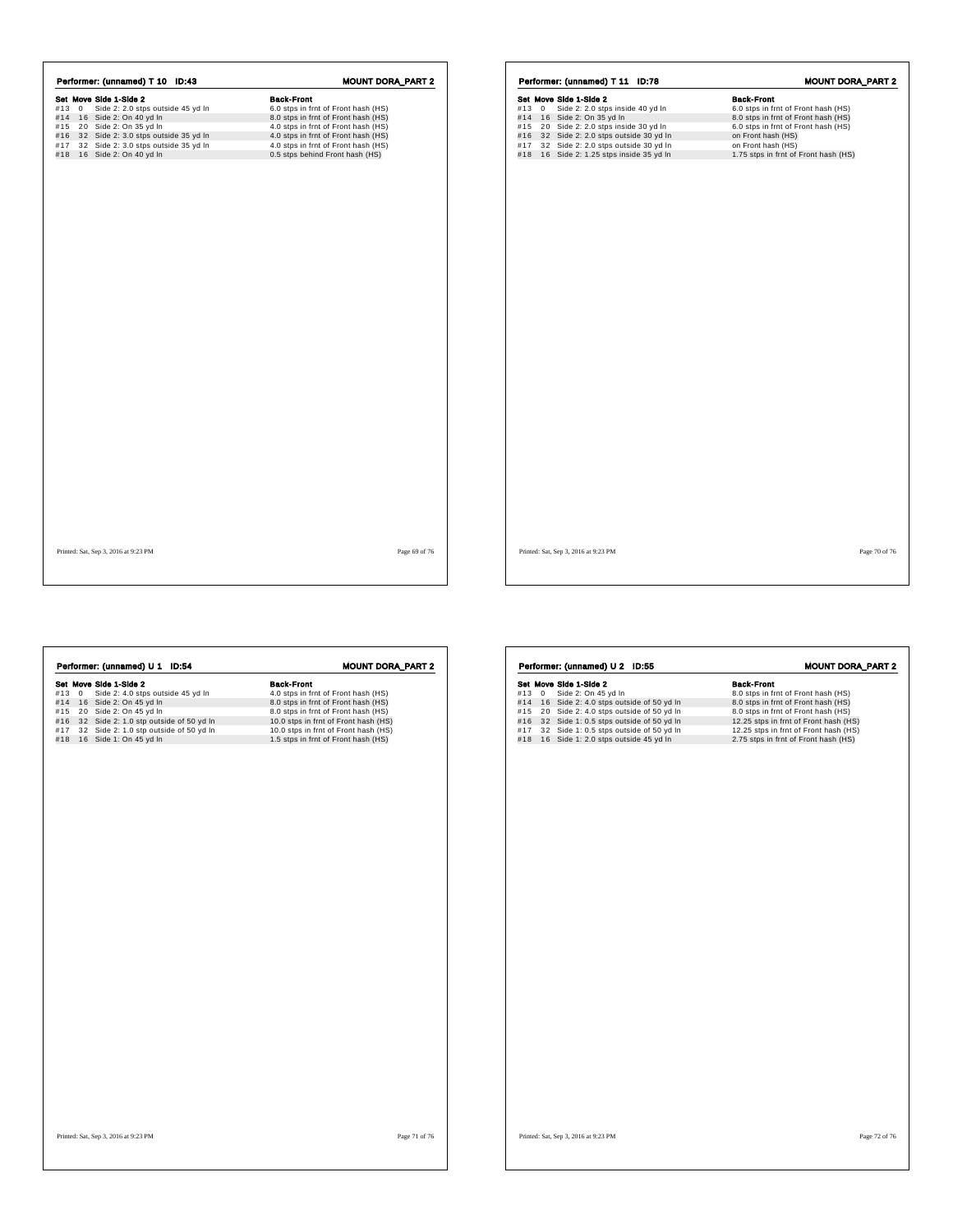|     | Performer: (unnamed) T 10<br>ID:43      | <b>MOUNT DORA PART 2</b>            |
|-----|-----------------------------------------|-------------------------------------|
|     | Set Move Side 1-Side 2                  | <b>Back-Front</b>                   |
|     | #13 0 Side 2: 2.0 stps outside 45 yd In | 6.0 stps in frnt of Front hash (HS) |
|     | #14 16 Side 2: On 40 yd In              | 8.0 stps in frnt of Front hash (HS) |
| #15 | 20 Side 2: On 35 yd In                  | 4.0 stps in frnt of Front hash (HS) |
| #16 | 32 Side 2: 3.0 stps outside 35 yd In    | 4.0 stps in frnt of Front hash (HS) |
| #17 | 32 Side 2: 3.0 stps outside 35 yd In    | 4.0 stps in frnt of Front hash (HS) |
| #18 | 16 Side 2: On 40 yd In                  | 0.5 stps behind Front hash (HS)     |

| Performer: (unnamed) T 11 |                |                                                                       | ID:78 |                                                                            | <b>MOUNT DORA_PART 2</b> |
|---------------------------|----------------|-----------------------------------------------------------------------|-------|----------------------------------------------------------------------------|--------------------------|
|                           |                | Set Move Side 1-Side 2                                                |       | <b>Back-Front</b>                                                          |                          |
| #13                       | $\overline{0}$ | Side 2: 2.0 stps inside 40 yd In                                      |       | 6.0 stps in frnt of Front hash (HS)                                        |                          |
|                           |                | #14 16 Side 2: On 35 yd In<br>#15 20 Side 2: 2.0 stps inside 30 yd In |       | 8.0 stps in frnt of Front hash (HS)<br>6.0 stps in frnt of Front hash (HS) |                          |
|                           |                | #16 32 Side 2: 2.0 stps outside 30 yd In                              |       | on Front hash (HS)                                                         |                          |
| #17                       |                | 32 Side 2: 2.0 stps outside 30 yd In                                  |       | on Front hash (HS)                                                         |                          |
|                           |                | #18 16 Side 2: 1.25 stps inside 35 yd In                              |       | 1.75 stps in frnt of Front hash (HS)                                       |                          |
|                           |                |                                                                       |       |                                                                            |                          |
|                           |                |                                                                       |       |                                                                            |                          |
|                           |                |                                                                       |       |                                                                            |                          |
|                           |                |                                                                       |       |                                                                            |                          |
|                           |                |                                                                       |       |                                                                            |                          |

Printed: Sat, Sep 3, 2016 at 9:23 PM Page 69 of 76

| <b>Back-Front</b><br>Set Move Side 1-Side 2<br>Side 2: 4.0 stps outside 45 yd In<br>#130<br>4.0 stps in frnt of Front hash (HS)<br>#14 16 Side 2: On 45 yd In<br>8.0 stps in frnt of Front hash (HS)<br>20 Side 2: On 45 yd In<br>8.0 stps in frnt of Front hash (HS)<br>32 Side 2: 1.0 stp outside of 50 yd In<br>10.0 stps in frnt of Front hash (HS)<br>32 Side 2: 1.0 stp outside of 50 yd In<br>10.0 stps in frnt of Front hash (HS)<br>16 Side 1: On 45 yd In<br>1.5 stps in frnt of Front hash (HS) |
|------------------------------------------------------------------------------------------------------------------------------------------------------------------------------------------------------------------------------------------------------------------------------------------------------------------------------------------------------------------------------------------------------------------------------------------------------------------------------------------------------------|
|                                                                                                                                                                                                                                                                                                                                                                                                                                                                                                            |
|                                                                                                                                                                                                                                                                                                                                                                                                                                                                                                            |
|                                                                                                                                                                                                                                                                                                                                                                                                                                                                                                            |
|                                                                                                                                                                                                                                                                                                                                                                                                                                                                                                            |
|                                                                                                                                                                                                                                                                                                                                                                                                                                                                                                            |
|                                                                                                                                                                                                                                                                                                                                                                                                                                                                                                            |
|                                                                                                                                                                                                                                                                                                                                                                                                                                                                                                            |
|                                                                                                                                                                                                                                                                                                                                                                                                                                                                                                            |
|                                                                                                                                                                                                                                                                                                                                                                                                                                                                                                            |
|                                                                                                                                                                                                                                                                                                                                                                                                                                                                                                            |

|     |   | Performer: (unnamed) U 2 ID:55          | <b>MOUNT DORA_PART 2</b>              |
|-----|---|-----------------------------------------|---------------------------------------|
|     |   | Set Move Side 1-Side 2                  | <b>Back-Front</b>                     |
| #13 | 0 | Side 2: On 45 yd In                     | 8.0 stps in frnt of Front hash (HS)   |
| #14 |   | 16 Side 2: 4.0 stps outside of 50 yd In | 8.0 stps in frnt of Front hash (HS)   |
| #15 |   | 20 Side 2: 4.0 stps outside of 50 yd In | 8.0 stps in frnt of Front hash (HS)   |
| #16 |   | 32 Side 1: 0.5 stps outside of 50 yd In | 12.25 stps in frnt of Front hash (HS) |
| #17 |   | 32 Side 1: 0.5 stps outside of 50 yd In | 12.25 stps in frnt of Front hash (HS) |
| #18 |   | 16 Side 1: 2.0 stps outside 45 yd In    | 2.75 stps in frnt of Front hash (HS)  |
|     |   |                                         |                                       |
|     |   |                                         |                                       |
|     |   |                                         |                                       |
|     |   |                                         |                                       |
|     |   |                                         |                                       |
|     |   |                                         |                                       |
|     |   |                                         |                                       |
|     |   |                                         |                                       |
|     |   |                                         |                                       |
|     |   |                                         |                                       |
|     |   |                                         |                                       |
|     |   |                                         |                                       |
|     |   |                                         |                                       |
|     |   |                                         |                                       |
|     |   |                                         |                                       |
|     |   |                                         |                                       |
|     |   |                                         |                                       |
|     |   |                                         |                                       |
|     |   |                                         |                                       |
|     |   |                                         |                                       |
|     |   |                                         |                                       |
|     |   |                                         |                                       |
|     |   |                                         |                                       |
|     |   |                                         |                                       |
|     |   |                                         |                                       |
|     |   |                                         |                                       |
|     |   |                                         |                                       |
|     |   |                                         |                                       |
|     |   |                                         |                                       |
|     |   |                                         |                                       |
|     |   |                                         |                                       |
|     |   |                                         |                                       |
|     |   |                                         |                                       |
|     |   |                                         |                                       |
|     |   |                                         |                                       |